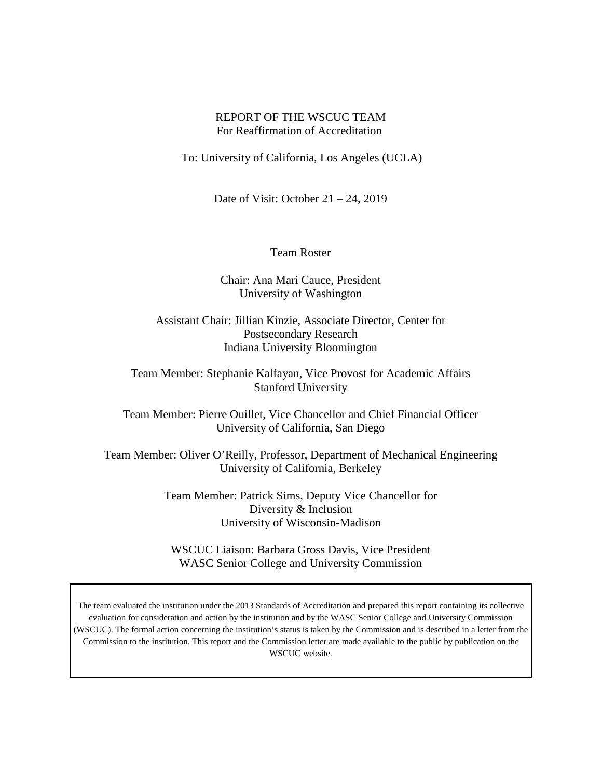## REPORT OF THE WSCUC TEAM For Reaffirmation of Accreditation

To: University of California, Los Angeles (UCLA)

Date of Visit: October  $21 - 24$ , 2019

Team Roster

Chair: Ana Mari Cauce, President University of Washington

Assistant Chair: Jillian Kinzie, Associate Director, Center for Postsecondary Research Indiana University Bloomington

Team Member: Stephanie Kalfayan, Vice Provost for Academic Affairs Stanford University

Team Member: Pierre Ouillet, Vice Chancellor and Chief Financial Officer University of California, San Diego

Team Member: Oliver O'Reilly, Professor, Department of Mechanical Engineering University of California, Berkeley

> Team Member: Patrick Sims, Deputy Vice Chancellor for Diversity & Inclusion University of Wisconsin-Madison

WSCUC Liaison: Barbara Gross Davis, Vice President WASC Senior College and University Commission

The team evaluated the institution under the 2013 Standards of Accreditation and prepared this report containing its collective evaluation for consideration and action by the institution and by the WASC Senior College and University Commission (WSCUC). The formal action concerning the institution's status is taken by the Commission and is described in a letter from the Commission to the institution. This report and the Commission letter are made available to the public by publication on the WSCUC website.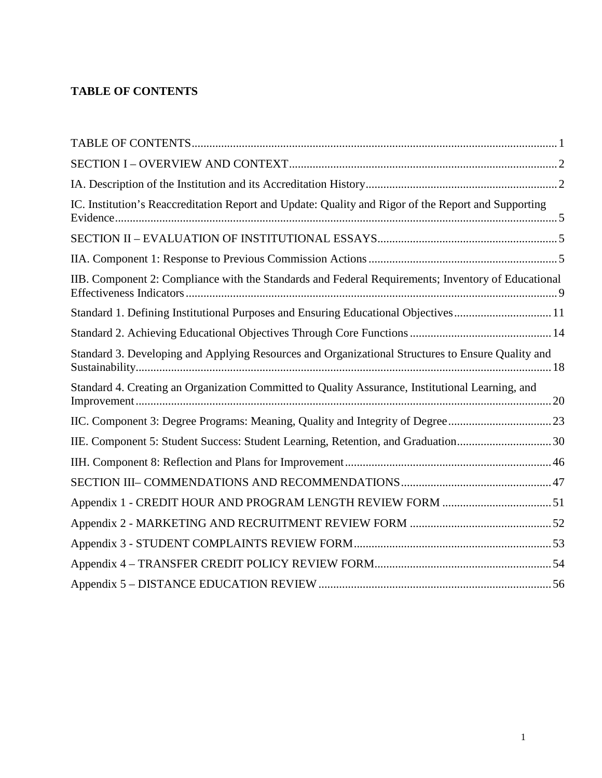# <span id="page-1-0"></span>**TABLE OF CONTENTS**

| IC. Institution's Reaccreditation Report and Update: Quality and Rigor of the Report and Supporting |  |
|-----------------------------------------------------------------------------------------------------|--|
|                                                                                                     |  |
|                                                                                                     |  |
| IIB. Component 2: Compliance with the Standards and Federal Requirements; Inventory of Educational  |  |
| Standard 1. Defining Institutional Purposes and Ensuring Educational Objectives11                   |  |
|                                                                                                     |  |
| Standard 3. Developing and Applying Resources and Organizational Structures to Ensure Quality and   |  |
| Standard 4. Creating an Organization Committed to Quality Assurance, Institutional Learning, and    |  |
|                                                                                                     |  |
| IIE. Component 5: Student Success: Student Learning, Retention, and Graduation30                    |  |
|                                                                                                     |  |
|                                                                                                     |  |
|                                                                                                     |  |
|                                                                                                     |  |
|                                                                                                     |  |
|                                                                                                     |  |
|                                                                                                     |  |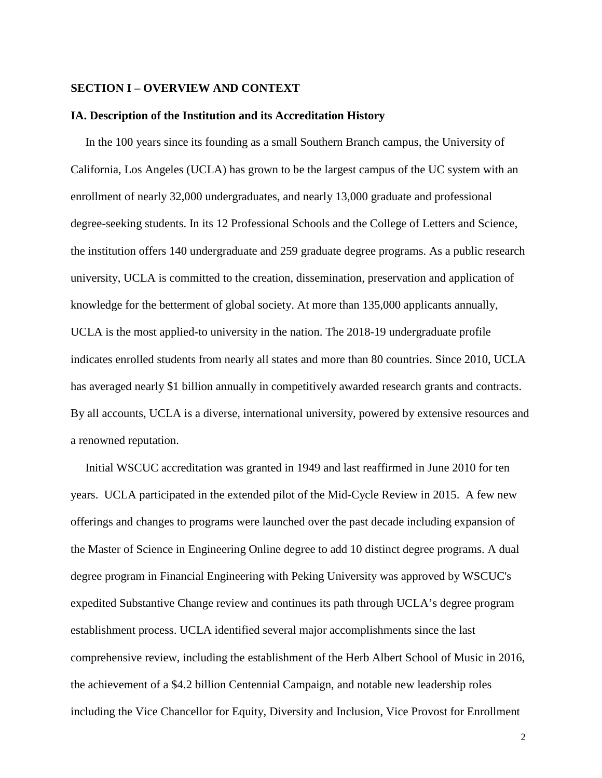#### <span id="page-2-0"></span>**SECTION I – OVERVIEW AND CONTEXT**

#### <span id="page-2-1"></span>**IA. Description of the Institution and its Accreditation History**

In the 100 years since its founding as a small Southern Branch campus, the University of California, Los Angeles (UCLA) has grown to be the largest campus of the UC system with an enrollment of nearly 32,000 undergraduates, and nearly 13,000 graduate and professional degree-seeking students. In its 12 Professional Schools and the College of Letters and Science, the institution offers 140 undergraduate and 259 graduate degree programs. As a public research university, UCLA is committed to the creation, dissemination, preservation and application of knowledge for the betterment of global society. At more than 135,000 applicants annually, UCLA is the most applied-to university in the nation. The 2018-19 undergraduate profile indicates enrolled students from nearly all states and more than 80 countries. Since 2010, UCLA has averaged nearly \$1 billion annually in competitively awarded research grants and contracts. By all accounts, UCLA is a diverse, international university, powered by extensive resources and a renowned reputation.

Initial WSCUC accreditation was granted in 1949 and last reaffirmed in June 2010 for ten years. UCLA participated in the extended pilot of the Mid-Cycle Review in 2015. A few new offerings and changes to programs were launched over the past decade including expansion of the Master of Science in Engineering Online degree to add 10 distinct degree programs. A dual degree program in Financial Engineering with Peking University was approved by WSCUC's expedited Substantive Change review and continues its path through UCLA's degree program establishment process. UCLA identified several major accomplishments since the last comprehensive review, including the establishment of the Herb Albert School of Music in 2016, the achievement of a \$4.2 billion Centennial Campaign, and notable new leadership roles including the Vice Chancellor for Equity, Diversity and Inclusion, Vice Provost for Enrollment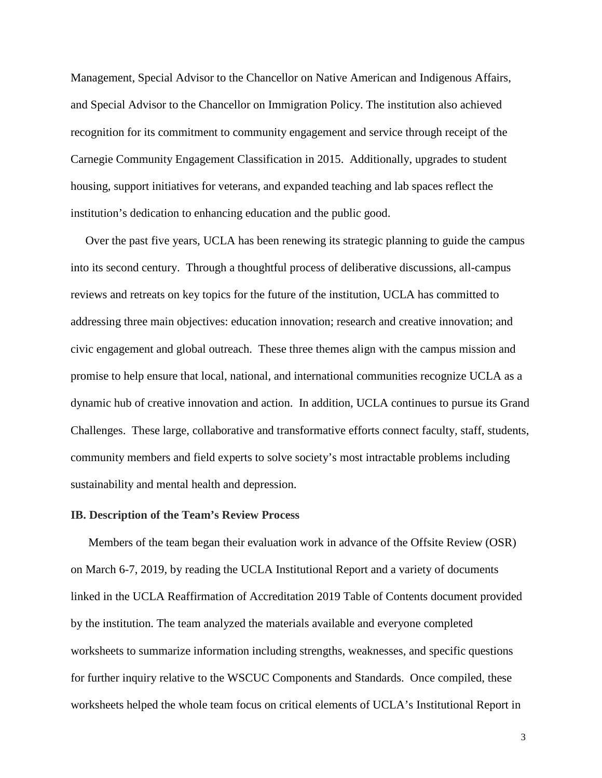Management, Special Advisor to the Chancellor on Native American and Indigenous Affairs, and Special Advisor to the Chancellor on Immigration Policy. The institution also achieved recognition for its commitment to community engagement and service through receipt of the Carnegie Community Engagement Classification in 2015. Additionally, upgrades to student housing, support initiatives for veterans, and expanded teaching and lab spaces reflect the institution's dedication to enhancing education and the public good.

Over the past five years, UCLA has been renewing its strategic planning to guide the campus into its second century. Through a thoughtful process of deliberative discussions, all-campus reviews and retreats on key topics for the future of the institution, UCLA has committed to addressing three main objectives: education innovation; research and creative innovation; and civic engagement and global outreach. These three themes align with the campus mission and promise to help ensure that local, national, and international communities recognize UCLA as a dynamic hub of creative innovation and action. In addition, UCLA continues to pursue its Grand Challenges. These large, collaborative and transformative efforts connect faculty, staff, students, community members and field experts to solve society's most intractable problems including sustainability and mental health and depression.

### **IB. Description of the Team's Review Process**

Members of the team began their evaluation work in advance of the Offsite Review (OSR) on March 6-7, 2019, by reading the UCLA Institutional Report and a variety of documents linked in the UCLA Reaffirmation of Accreditation 2019 Table of Contents document provided by the institution. The team analyzed the materials available and everyone completed worksheets to summarize information including strengths, weaknesses, and specific questions for further inquiry relative to the WSCUC Components and Standards. Once compiled, these worksheets helped the whole team focus on critical elements of UCLA's Institutional Report in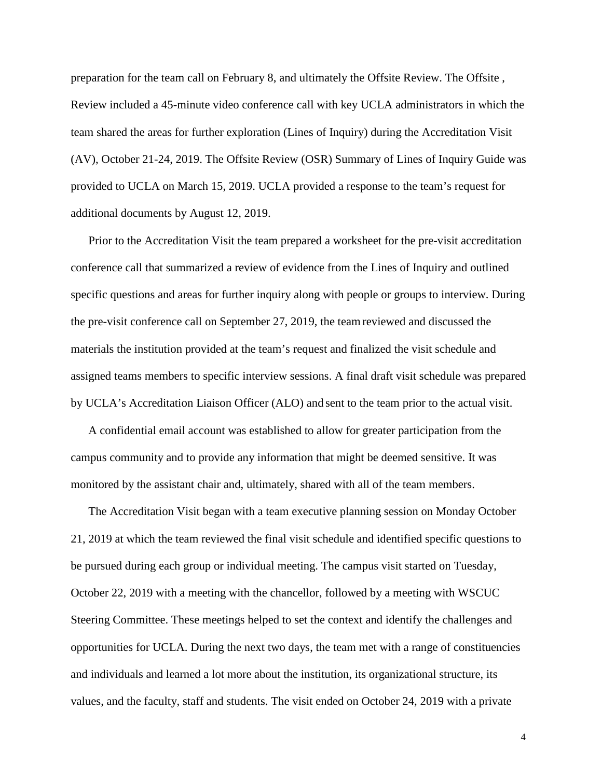preparation for the team call on February 8, and ultimately the Offsite Review. The Offsite , Review included a 45-minute video conference call with key UCLA administrators in which the team shared the areas for further exploration (Lines of Inquiry) during the Accreditation Visit (AV), October 21-24, 2019. The Offsite Review (OSR) Summary of Lines of Inquiry Guide was provided to UCLA on March 15, 2019. UCLA provided a response to the team's request for additional documents by August 12, 2019.

Prior to the Accreditation Visit the team prepared a worksheet for the pre-visit accreditation conference call that summarized a review of evidence from the Lines of Inquiry and outlined specific questions and areas for further inquiry along with people or groups to interview. During the pre-visit conference call on September 27, 2019, the team reviewed and discussed the materials the institution provided at the team's request and finalized the visit schedule and assigned teams members to specific interview sessions. A final draft visit schedule was prepared by UCLA's Accreditation Liaison Officer (ALO) and sent to the team prior to the actual visit.

A confidential email account was established to allow for greater participation from the campus community and to provide any information that might be deemed sensitive. It was monitored by the assistant chair and, ultimately, shared with all of the team members.

The Accreditation Visit began with a team executive planning session on Monday October 21, 2019 at which the team reviewed the final visit schedule and identified specific questions to be pursued during each group or individual meeting. The campus visit started on Tuesday, October 22, 2019 with a meeting with the chancellor, followed by a meeting with WSCUC Steering Committee. These meetings helped to set the context and identify the challenges and opportunities for UCLA. During the next two days, the team met with a range of constituencies and individuals and learned a lot more about the institution, its organizational structure, its values, and the faculty, staff and students. The visit ended on October 24, 2019 with a private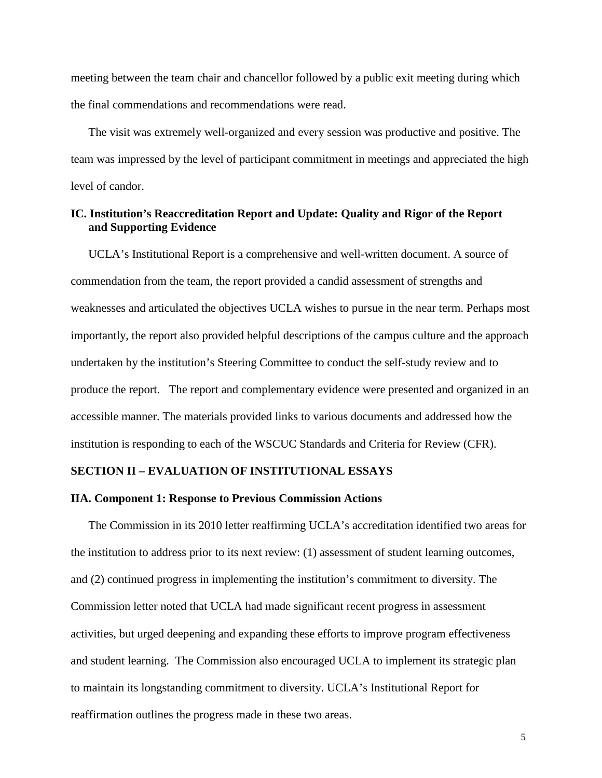meeting between the team chair and chancellor followed by a public exit meeting during which the final commendations and recommendations were read.

The visit was extremely well-organized and every session was productive and positive. The team was impressed by the level of participant commitment in meetings and appreciated the high level of candor.

# <span id="page-5-0"></span>**IC. Institution's Reaccreditation Report and Update: Quality and Rigor of the Report and Supporting Evidence**

UCLA's Institutional Report is a comprehensive and well-written document. A source of commendation from the team, the report provided a candid assessment of strengths and weaknesses and articulated the objectives UCLA wishes to pursue in the near term. Perhaps most importantly, the report also provided helpful descriptions of the campus culture and the approach undertaken by the institution's Steering Committee to conduct the self-study review and to produce the report. The report and complementary evidence were presented and organized in an accessible manner. The materials provided links to various documents and addressed how the institution is responding to each of the WSCUC Standards and Criteria for Review (CFR).

## <span id="page-5-1"></span>**SECTION II – EVALUATION OF INSTITUTIONAL ESSAYS**

#### <span id="page-5-2"></span>**IIA. Component 1: Response to Previous Commission Actions**

The Commission in its 2010 letter reaffirming UCLA's accreditation identified two areas for the institution to address prior to its next review: (1) assessment of student learning outcomes, and (2) continued progress in implementing the institution's commitment to diversity. The Commission letter noted that UCLA had made significant recent progress in assessment activities, but urged deepening and expanding these efforts to improve program effectiveness and student learning. The Commission also encouraged UCLA to implement its strategic plan to maintain its longstanding commitment to diversity. UCLA's Institutional Report for reaffirmation outlines the progress made in these two areas.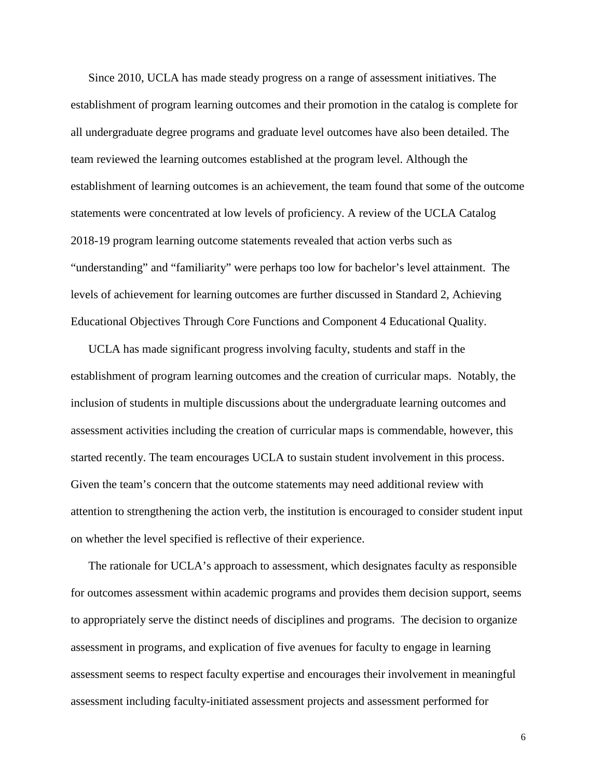Since 2010, UCLA has made steady progress on a range of assessment initiatives. The establishment of program learning outcomes and their promotion in the catalog is complete for all undergraduate degree programs and graduate level outcomes have also been detailed. The team reviewed the learning outcomes established at the program level. Although the establishment of learning outcomes is an achievement, the team found that some of the outcome statements were concentrated at low levels of proficiency. A review of the UCLA Catalog 2018-19 program learning outcome statements revealed that action verbs such as "understanding" and "familiarity" were perhaps too low for bachelor's level attainment. The levels of achievement for learning outcomes are further discussed in Standard 2, Achieving Educational Objectives Through Core Functions and Component 4 Educational Quality.

UCLA has made significant progress involving faculty, students and staff in the establishment of program learning outcomes and the creation of curricular maps. Notably, the inclusion of students in multiple discussions about the undergraduate learning outcomes and assessment activities including the creation of curricular maps is commendable, however, this started recently. The team encourages UCLA to sustain student involvement in this process. Given the team's concern that the outcome statements may need additional review with attention to strengthening the action verb, the institution is encouraged to consider student input on whether the level specified is reflective of their experience.

The rationale for UCLA's approach to assessment, which designates faculty as responsible for outcomes assessment within academic programs and provides them decision support, seems to appropriately serve the distinct needs of disciplines and programs. The decision to organize assessment in programs, and explication of five avenues for faculty to engage in learning assessment seems to respect faculty expertise and encourages their involvement in meaningful assessment including faculty-initiated assessment projects and assessment performed for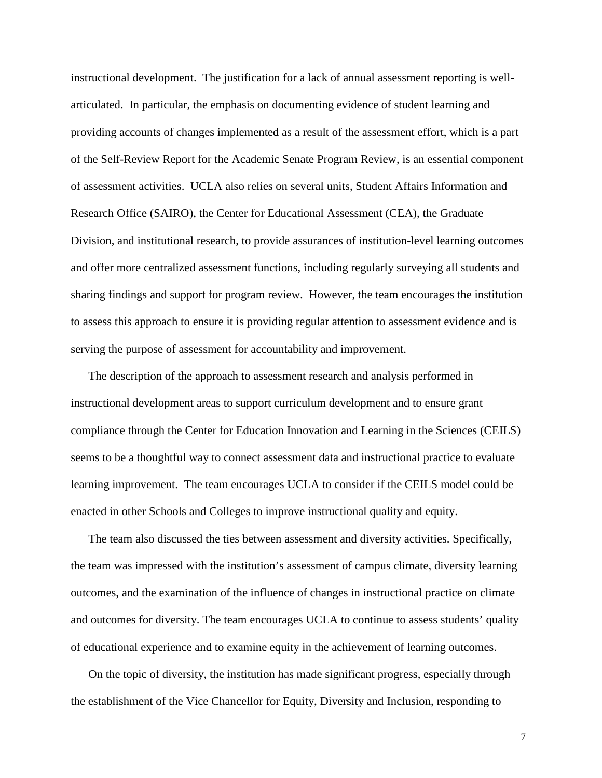instructional development. The justification for a lack of annual assessment reporting is wellarticulated. In particular, the emphasis on documenting evidence of student learning and providing accounts of changes implemented as a result of the assessment effort, which is a part of the Self-Review Report for the Academic Senate Program Review, is an essential component of assessment activities. UCLA also relies on several units, Student Affairs Information and Research Office (SAIRO), the Center for Educational Assessment (CEA), the Graduate Division, and institutional research, to provide assurances of institution-level learning outcomes and offer more centralized assessment functions, including regularly surveying all students and sharing findings and support for program review. However, the team encourages the institution to assess this approach to ensure it is providing regular attention to assessment evidence and is serving the purpose of assessment for accountability and improvement.

The description of the approach to assessment research and analysis performed in instructional development areas to support curriculum development and to ensure grant compliance through the Center for Education Innovation and Learning in the Sciences (CEILS) seems to be a thoughtful way to connect assessment data and instructional practice to evaluate learning improvement. The team encourages UCLA to consider if the CEILS model could be enacted in other Schools and Colleges to improve instructional quality and equity.

The team also discussed the ties between assessment and diversity activities. Specifically, the team was impressed with the institution's assessment of campus climate, diversity learning outcomes, and the examination of the influence of changes in instructional practice on climate and outcomes for diversity. The team encourages UCLA to continue to assess students' quality of educational experience and to examine equity in the achievement of learning outcomes.

On the topic of diversity, the institution has made significant progress, especially through the establishment of the Vice Chancellor for Equity, Diversity and Inclusion, responding to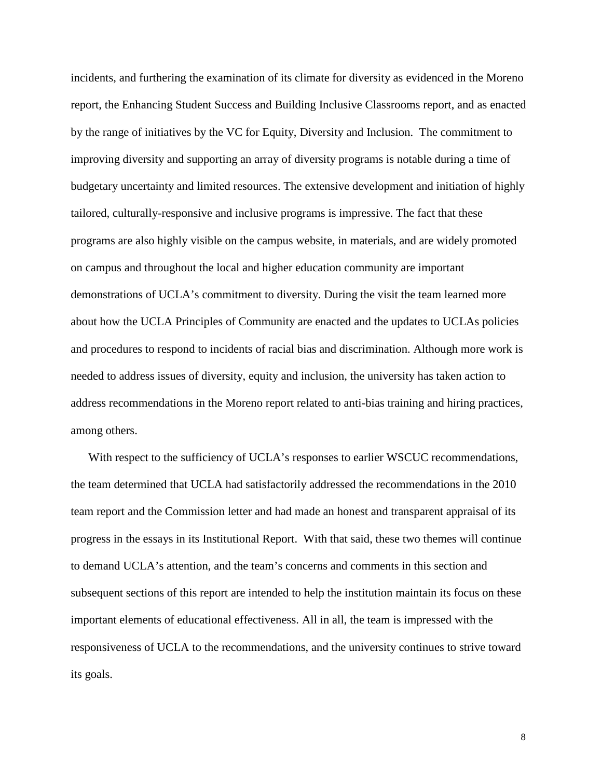<span id="page-8-0"></span>incidents, and furthering the examination of its climate for diversity as evidenced in the Moreno report, the Enhancing Student Success and Building Inclusive Classrooms report, and as enacted by the range of initiatives by the VC for Equity, Diversity and Inclusion. The commitment to improving diversity and supporting an array of diversity programs is notable during a time of budgetary uncertainty and limited resources. The extensive development and initiation of highly tailored, culturally-responsive and inclusive programs is impressive. The fact that these programs are also highly visible on the campus website, in materials, and are widely promoted on campus and throughout the local and higher education community are important demonstrations of UCLA's commitment to diversity. During the visit the team learned more about how the UCLA Principles of Community are enacted and the updates to UCLAs policies and procedures to respond to incidents of racial bias and discrimination. Although more work is needed to address issues of diversity, equity and inclusion, the university has taken action to address recommendations in the Moreno report related to anti-bias training and hiring practices, among others.

With respect to the sufficiency of UCLA's responses to earlier WSCUC recommendations, the team determined that UCLA had satisfactorily addressed the recommendations in the 2010 team report and the Commission letter and had made an honest and transparent appraisal of its progress in the essays in its Institutional Report. With that said, these two themes will continue to demand UCLA's attention, and the team's concerns and comments in this section and subsequent sections of this report are intended to help the institution maintain its focus on these important elements of educational effectiveness. All in all, the team is impressed with the responsiveness of UCLA to the recommendations, and the university continues to strive toward its goals.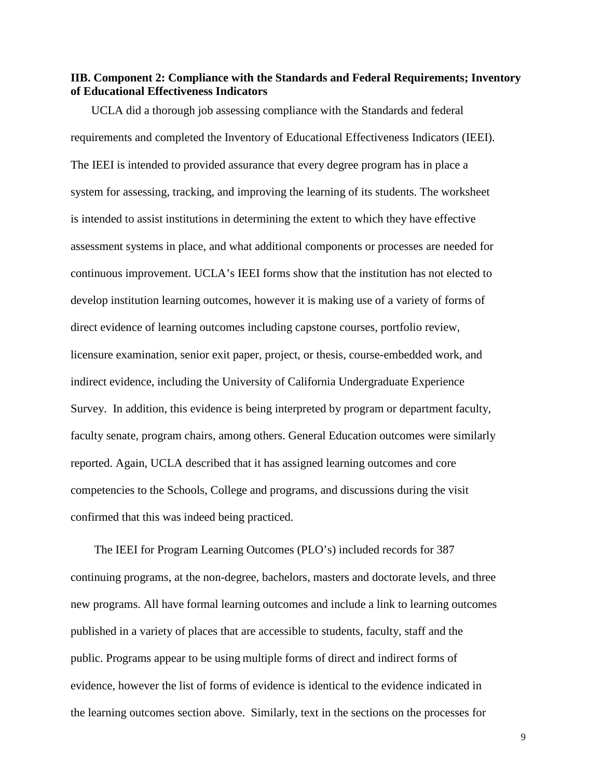## **IIB. Component 2: Compliance with the Standards and Federal Requirements; Inventory of Educational Effectiveness Indicators**

UCLA did a thorough job assessing compliance with the Standards and federal requirements and completed the Inventory of Educational Effectiveness Indicators (IEEI). The IEEI is intended to provided assurance that every degree program has in place a system for assessing, tracking, and improving the learning of its students. The worksheet is intended to assist institutions in determining the extent to which they have effective assessment systems in place, and what additional components or processes are needed for continuous improvement. UCLA's IEEI forms show that the institution has not elected to develop institution learning outcomes, however it is making use of a variety of forms of direct evidence of learning outcomes including capstone courses, portfolio review, licensure examination, senior exit paper, project, or thesis, course-embedded work, and indirect evidence, including the University of California Undergraduate Experience Survey. In addition, this evidence is being interpreted by program or department faculty, faculty senate, program chairs, among others. General Education outcomes were similarly reported. Again, UCLA described that it has assigned learning outcomes and core competencies to the Schools, College and programs, and discussions during the visit confirmed that this was indeed being practiced.

The IEEI for Program Learning Outcomes (PLO's) included records for 387 continuing programs, at the non-degree, bachelors, masters and doctorate levels, and three new programs. All have formal learning outcomes and include a link to learning outcomes published in a variety of places that are accessible to students, faculty, staff and the public. Programs appear to be using multiple forms of direct and indirect forms of evidence, however the list of forms of evidence is identical to the evidence indicated in the learning outcomes section above. Similarly, text in the sections on the processes for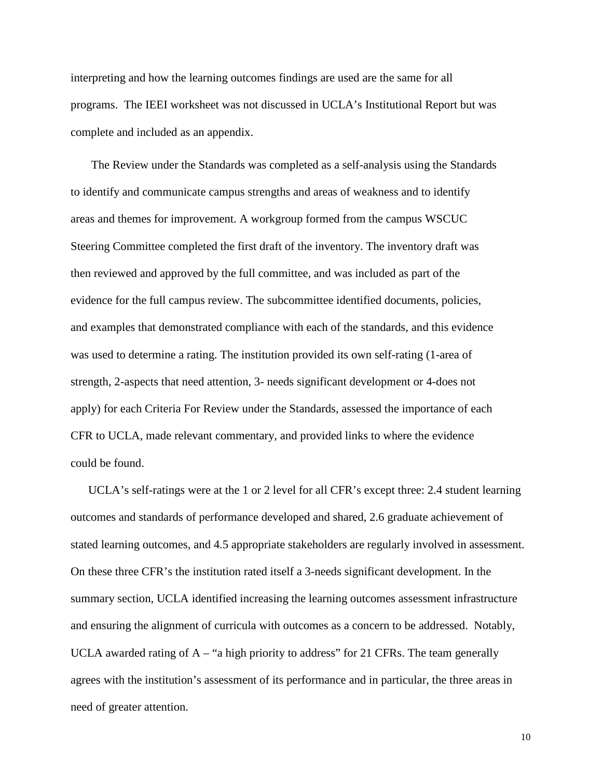interpreting and how the learning outcomes findings are used are the same for all programs. The IEEI worksheet was not discussed in UCLA's Institutional Report but was complete and included as an appendix.

The Review under the Standards was completed as a self-analysis using the Standards to identify and communicate campus strengths and areas of weakness and to identify areas and themes for improvement. A workgroup formed from the campus WSCUC Steering Committee completed the first draft of the inventory. The inventory draft was then reviewed and approved by the full committee, and was included as part of the evidence for the full campus review. The subcommittee identified documents, policies, and examples that demonstrated compliance with each of the standards, and this evidence was used to determine a rating. The institution provided its own self-rating (1-area of strength, 2-aspects that need attention, 3- needs significant development or 4-does not apply) for each Criteria For Review under the Standards, assessed the importance of each CFR to UCLA, made relevant commentary, and provided links to where the evidence could be found.

UCLA's self-ratings were at the 1 or 2 level for all CFR's except three: 2.4 student learning outcomes and standards of performance developed and shared, 2.6 graduate achievement of stated learning outcomes, and 4.5 appropriate stakeholders are regularly involved in assessment. On these three CFR's the institution rated itself a 3-needs significant development. In the summary section, UCLA identified increasing the learning outcomes assessment infrastructure and ensuring the alignment of curricula with outcomes as a concern to be addressed. Notably, UCLA awarded rating of  $A - "a$  high priority to address" for 21 CFRs. The team generally agrees with the institution's assessment of its performance and in particular, the three areas in need of greater attention.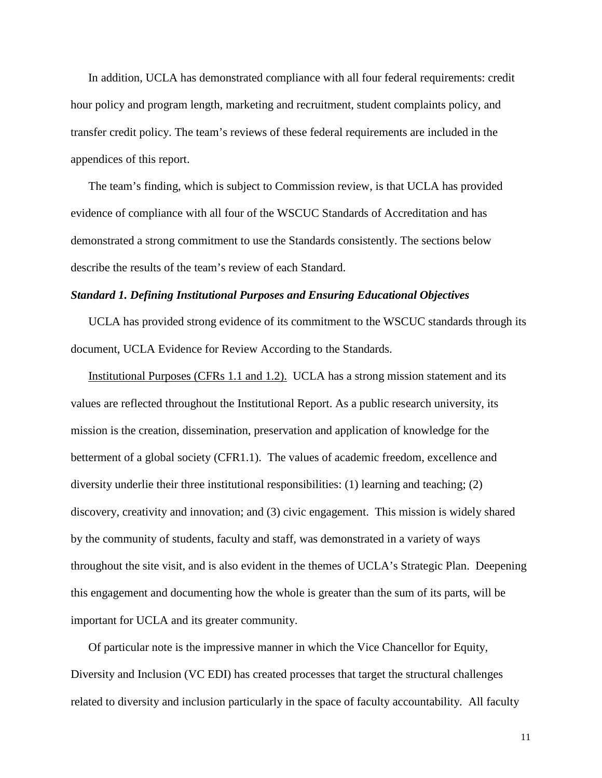In addition, UCLA has demonstrated compliance with all four federal requirements: credit hour policy and program length, marketing and recruitment, student complaints policy, and transfer credit policy. The team's reviews of these federal requirements are included in the appendices of this report.

The team's finding, which is subject to Commission review, is that UCLA has provided evidence of compliance with all four of the WSCUC Standards of Accreditation and has demonstrated a strong commitment to use the Standards consistently. The sections below describe the results of the team's review of each Standard.

#### <span id="page-11-0"></span>*Standard 1. Defining Institutional Purposes and Ensuring Educational Objectives*

UCLA has provided strong evidence of its commitment to the WSCUC standards through its document, UCLA Evidence for Review According to the Standards.

Institutional Purposes (CFRs 1.1 and 1.2). UCLA has a strong mission statement and its values are reflected throughout the Institutional Report. As a public research university, its mission is the creation, dissemination, preservation and application of knowledge for the betterment of a global society (CFR1.1). The values of academic freedom, excellence and diversity underlie their three institutional responsibilities: (1) learning and teaching; (2) discovery, creativity and innovation; and (3) civic engagement. This mission is widely shared by the community of students, faculty and staff, was demonstrated in a variety of ways throughout the site visit, and is also evident in the themes of UCLA's Strategic Plan. Deepening this engagement and documenting how the whole is greater than the sum of its parts, will be important for UCLA and its greater community.

Of particular note is the impressive manner in which the Vice Chancellor for Equity, Diversity and Inclusion (VC EDI) has created processes that target the structural challenges related to diversity and inclusion particularly in the space of faculty accountability. All faculty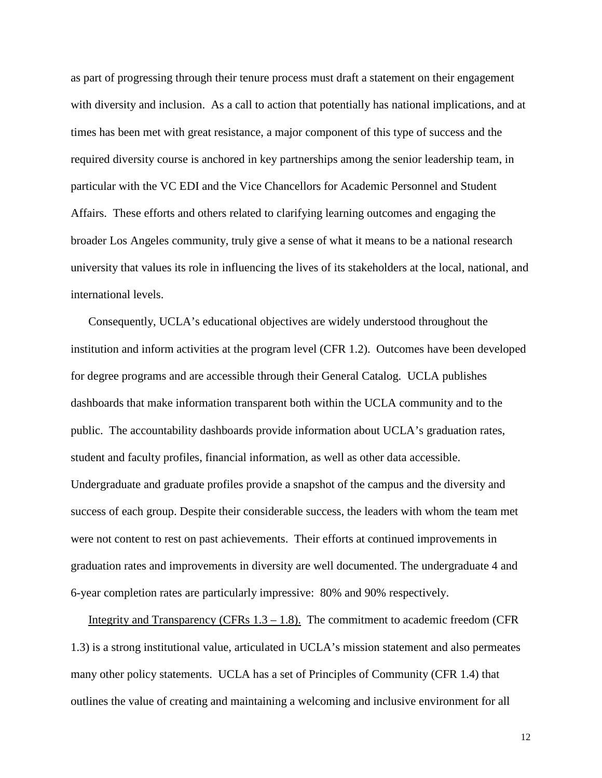as part of progressing through their tenure process must draft a statement on their engagement with diversity and inclusion. As a call to action that potentially has national implications, and at times has been met with great resistance, a major component of this type of success and the required diversity course is anchored in key partnerships among the senior leadership team, in particular with the VC EDI and the Vice Chancellors for Academic Personnel and Student Affairs. These efforts and others related to clarifying learning outcomes and engaging the broader Los Angeles community, truly give a sense of what it means to be a national research university that values its role in influencing the lives of its stakeholders at the local, national, and international levels.

Consequently, UCLA's educational objectives are widely understood throughout the institution and inform activities at the program level (CFR 1.2). Outcomes have been developed for degree programs and are accessible through their General Catalog. UCLA publishes dashboards that make information transparent both within the UCLA community and to the public. The accountability dashboards provide information about UCLA's graduation rates, student and faculty profiles, financial information, as well as other data accessible. Undergraduate and graduate profiles provide a snapshot of the campus and the diversity and success of each group. Despite their considerable success, the leaders with whom the team met were not content to rest on past achievements. Their efforts at continued improvements in graduation rates and improvements in diversity are well documented. The undergraduate 4 and 6-year completion rates are particularly impressive: 80% and 90% respectively.

Integrity and Transparency (CFRs  $1.3 - 1.8$ ). The commitment to academic freedom (CFR 1.3) is a strong institutional value, articulated in UCLA's mission statement and also permeates many other policy statements. UCLA has a set of Principles of Community (CFR 1.4) that outlines the value of creating and maintaining a welcoming and inclusive environment for all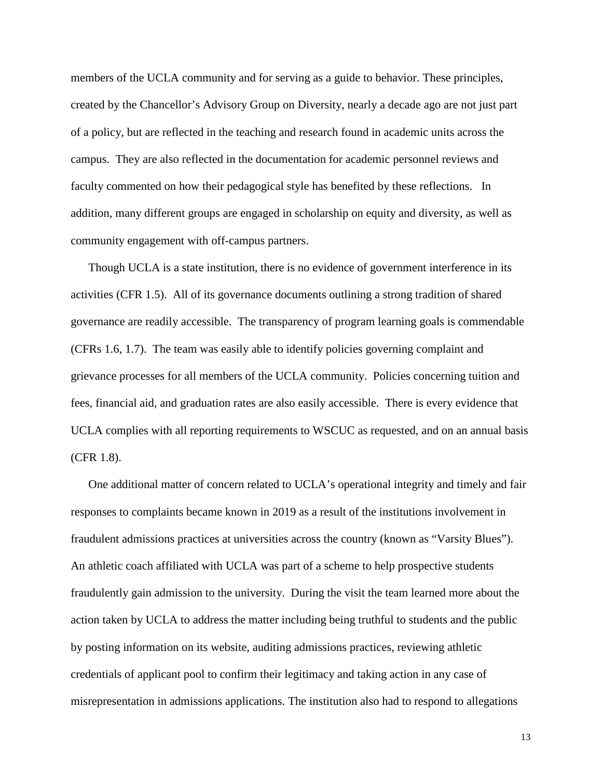members of the UCLA community and for serving as a guide to behavior. These principles, created by the Chancellor's Advisory Group on Diversity, nearly a decade ago are not just part of a policy, but are reflected in the teaching and research found in academic units across the campus. They are also reflected in the documentation for academic personnel reviews and faculty commented on how their pedagogical style has benefited by these reflections. In addition, many different groups are engaged in scholarship on equity and diversity, as well as community engagement with off-campus partners.

Though UCLA is a state institution, there is no evidence of government interference in its activities (CFR 1.5). All of its governance documents outlining a strong tradition of shared governance are readily accessible. The transparency of program learning goals is commendable (CFRs 1.6, 1.7). The team was easily able to identify policies governing complaint and grievance processes for all members of the UCLA community. Policies concerning tuition and fees, financial aid, and graduation rates are also easily accessible. There is every evidence that UCLA complies with all reporting requirements to WSCUC as requested, and on an annual basis (CFR 1.8).

One additional matter of concern related to UCLA's operational integrity and timely and fair responses to complaints became known in 2019 as a result of the institutions involvement in fraudulent admissions practices at universities across the country (known as "Varsity Blues"). An athletic coach affiliated with UCLA was part of a scheme to help prospective students fraudulently gain admission to the university. During the visit the team learned more about the action taken by UCLA to address the matter including being truthful to students and the public by posting information on its website, auditing admissions practices, reviewing athletic credentials of applicant pool to confirm their legitimacy and taking action in any case of misrepresentation in admissions applications. The institution also had to respond to allegations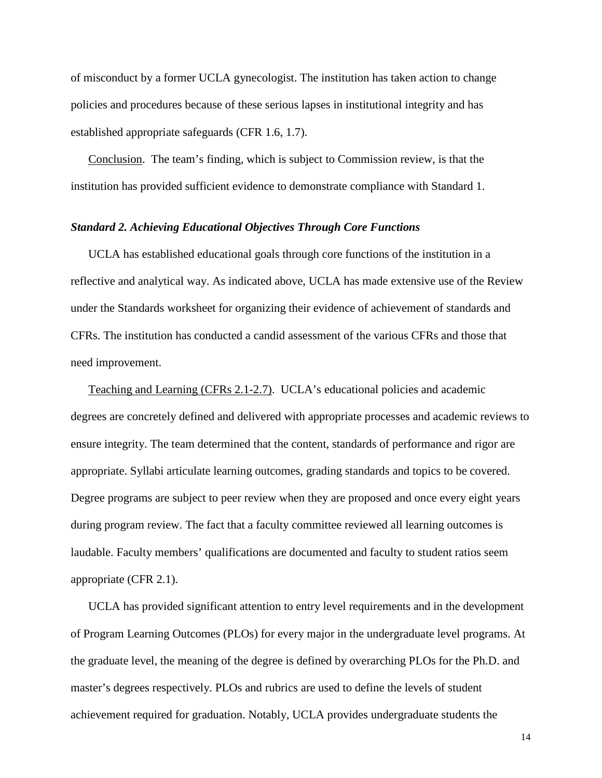of misconduct by a former UCLA gynecologist. The institution has taken action to change policies and procedures because of these serious lapses in institutional integrity and has established appropriate safeguards (CFR 1.6, 1.7).

Conclusion. The team's finding, which is subject to Commission review, is that the institution has provided sufficient evidence to demonstrate compliance with Standard 1.

## <span id="page-14-0"></span>*Standard 2. Achieving Educational Objectives Through Core Functions*

UCLA has established educational goals through core functions of the institution in a reflective and analytical way. As indicated above, UCLA has made extensive use of the Review under the Standards worksheet for organizing their evidence of achievement of standards and CFRs. The institution has conducted a candid assessment of the various CFRs and those that need improvement.

Teaching and Learning (CFRs 2.1-2.7). UCLA's educational policies and academic degrees are concretely defined and delivered with appropriate processes and academic reviews to ensure integrity. The team determined that the content, standards of performance and rigor are appropriate. Syllabi articulate learning outcomes, grading standards and topics to be covered. Degree programs are subject to peer review when they are proposed and once every eight years during program review. The fact that a faculty committee reviewed all learning outcomes is laudable. Faculty members' qualifications are documented and faculty to student ratios seem appropriate (CFR 2.1).

UCLA has provided significant attention to entry level requirements and in the development of Program Learning Outcomes (PLOs) for every major in the undergraduate level programs. At the graduate level, the meaning of the degree is defined by overarching PLOs for the Ph.D. and master's degrees respectively. PLOs and rubrics are used to define the levels of student achievement required for graduation. Notably, UCLA provides undergraduate students the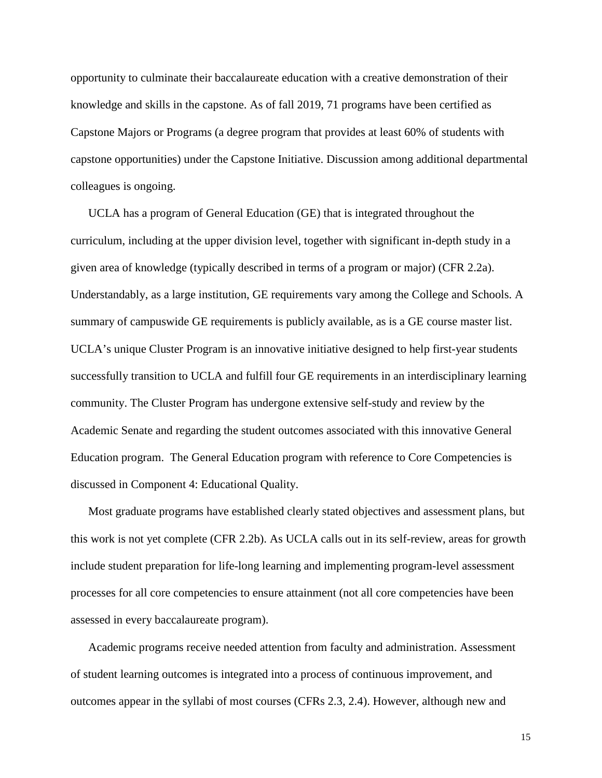opportunity to culminate their baccalaureate education with a creative demonstration of their knowledge and skills in the capstone. As of fall 2019, 71 programs have been certified as Capstone Majors or Programs (a degree program that provides at least 60% of students with capstone opportunities) under the Capstone Initiative. Discussion among additional departmental colleagues is ongoing.

UCLA has a program of General Education (GE) that is integrated throughout the curriculum, including at the upper division level, together with significant in-depth study in a given area of knowledge (typically described in terms of a program or major) (CFR 2.2a). Understandably, as a large institution, GE requirements vary among the College and Schools. A summary of campuswide GE requirements is publicly available, as is a GE course master list. UCLA's unique Cluster Program is an innovative initiative designed to help first-year students successfully transition to UCLA and fulfill four GE requirements in an interdisciplinary learning community. The Cluster Program has undergone extensive self-study and review by the Academic Senate and regarding the student outcomes associated with this innovative General Education program. The General Education program with reference to Core Competencies is discussed in Component 4: Educational Quality.

Most graduate programs have established clearly stated objectives and assessment plans, but this work is not yet complete (CFR 2.2b). As UCLA calls out in its self-review, areas for growth include student preparation for life-long learning and implementing program-level assessment processes for all core competencies to ensure attainment (not all core competencies have been assessed in every baccalaureate program).

Academic programs receive needed attention from faculty and administration. Assessment of student learning outcomes is integrated into a process of continuous improvement, and outcomes appear in the syllabi of most courses (CFRs 2.3, 2.4). However, although new and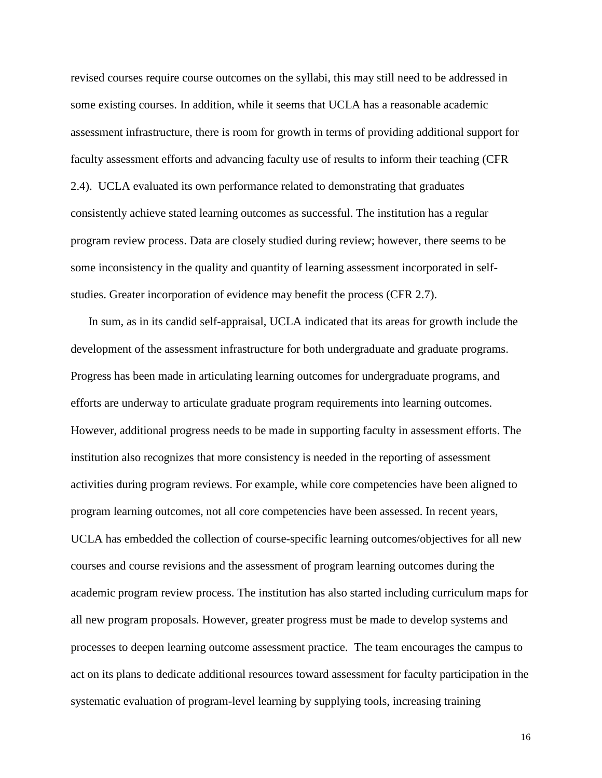revised courses require course outcomes on the syllabi, this may still need to be addressed in some existing courses. In addition, while it seems that UCLA has a reasonable academic assessment infrastructure, there is room for growth in terms of providing additional support for faculty assessment efforts and advancing faculty use of results to inform their teaching (CFR 2.4). UCLA evaluated its own performance related to demonstrating that graduates consistently achieve stated learning outcomes as successful. The institution has a regular program review process. Data are closely studied during review; however, there seems to be some inconsistency in the quality and quantity of learning assessment incorporated in selfstudies. Greater incorporation of evidence may benefit the process (CFR 2.7).

In sum, as in its candid self-appraisal, UCLA indicated that its areas for growth include the development of the assessment infrastructure for both undergraduate and graduate programs. Progress has been made in articulating learning outcomes for undergraduate programs, and efforts are underway to articulate graduate program requirements into learning outcomes. However, additional progress needs to be made in supporting faculty in assessment efforts. The institution also recognizes that more consistency is needed in the reporting of assessment activities during program reviews. For example, while core competencies have been aligned to program learning outcomes, not all core competencies have been assessed. In recent years, UCLA has embedded the collection of course-specific learning outcomes/objectives for all new courses and course revisions and the assessment of program learning outcomes during the academic program review process. The institution has also started including curriculum maps for all new program proposals. However, greater progress must be made to develop systems and processes to deepen learning outcome assessment practice. The team encourages the campus to act on its plans to dedicate additional resources toward assessment for faculty participation in the systematic evaluation of program-level learning by supplying tools, increasing training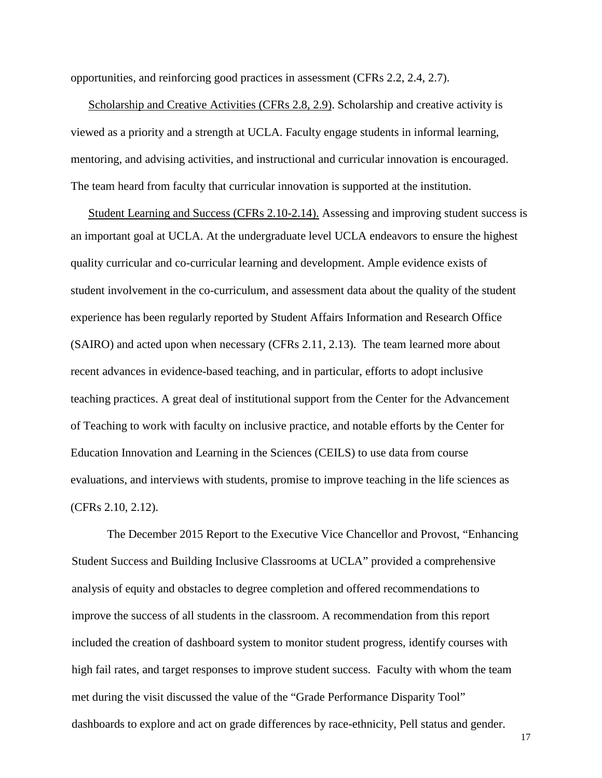opportunities, and reinforcing good practices in assessment (CFRs 2.2, 2.4, 2.7).

Scholarship and Creative Activities (CFRs 2.8, 2.9). Scholarship and creative activity is viewed as a priority and a strength at UCLA. Faculty engage students in informal learning, mentoring, and advising activities, and instructional and curricular innovation is encouraged. The team heard from faculty that curricular innovation is supported at the institution.

Student Learning and Success (CFRs 2.10-2.14). Assessing and improving student success is an important goal at UCLA. At the undergraduate level UCLA endeavors to ensure the highest quality curricular and co-curricular learning and development. Ample evidence exists of student involvement in the co-curriculum, and assessment data about the quality of the student experience has been regularly reported by Student Affairs Information and Research Office (SAIRO) and acted upon when necessary (CFRs 2.11, 2.13). The team learned more about recent advances in evidence-based teaching, and in particular, efforts to adopt inclusive teaching practices. A great deal of institutional support from the Center for the Advancement of Teaching to work with faculty on inclusive practice, and notable efforts by the Center for Education Innovation and Learning in the Sciences (CEILS) to use data from course evaluations, and interviews with students, promise to improve teaching in the life sciences as (CFRs 2.10, 2.12).

The December 2015 Report to the Executive Vice Chancellor and Provost, "Enhancing Student Success and Building Inclusive Classrooms at UCLA" provided a comprehensive analysis of equity and obstacles to degree completion and offered recommendations to improve the success of all students in the classroom. A recommendation from this report included the creation of dashboard system to monitor student progress, identify courses with high fail rates, and target responses to improve student success. Faculty with whom the team met during the visit discussed the value of the "Grade Performance Disparity Tool" dashboards to explore and act on grade differences by race-ethnicity, Pell status and gender.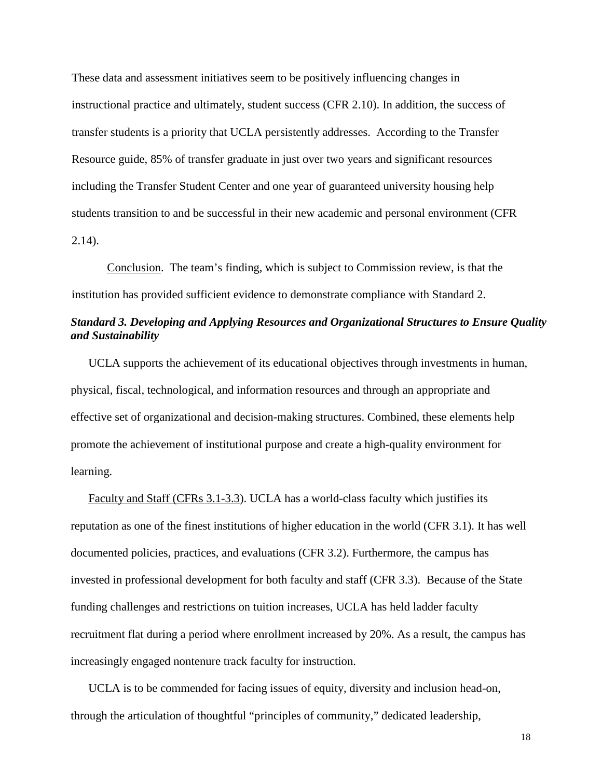These data and assessment initiatives seem to be positively influencing changes in instructional practice and ultimately, student success (CFR 2.10). In addition, the success of transfer students is a priority that UCLA persistently addresses. According to the Transfer Resource guide, 85% of transfer graduate in just over two years and significant resources including the Transfer Student Center and one year of guaranteed university housing help students transition to and be successful in their new academic and personal environment (CFR 2.14).

Conclusion. The team's finding, which is subject to Commission review, is that the institution has provided sufficient evidence to demonstrate compliance with Standard 2.

# <span id="page-18-0"></span>*Standard 3. Developing and Applying Resources and Organizational Structures to Ensure Quality and Sustainability*

UCLA supports the achievement of its educational objectives through investments in human, physical, fiscal, technological, and information resources and through an appropriate and effective set of organizational and decision-making structures. Combined, these elements help promote the achievement of institutional purpose and create a high-quality environment for learning.

Faculty and Staff (CFRs 3.1-3.3). UCLA has a world-class faculty which justifies its reputation as one of the finest institutions of higher education in the world (CFR 3.1). It has well documented policies, practices, and evaluations (CFR 3.2). Furthermore, the campus has invested in professional development for both faculty and staff (CFR 3.3). Because of the State funding challenges and restrictions on tuition increases, UCLA has held ladder faculty recruitment flat during a period where enrollment increased by 20%. As a result, the campus has increasingly engaged nontenure track faculty for instruction.

UCLA is to be commended for facing issues of equity, diversity and inclusion head-on, through the articulation of thoughtful "principles of community," dedicated leadership,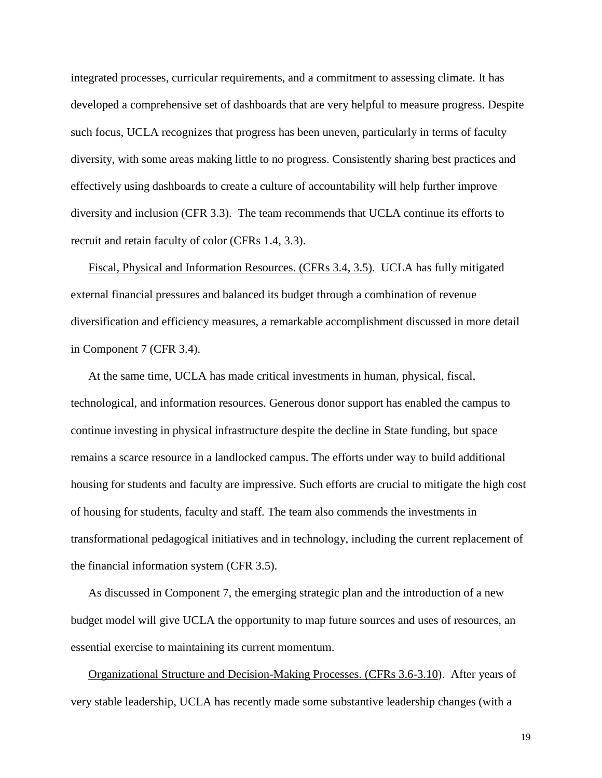integrated processes, curricular requirements, and a commitment to assessing climate. It has developed a comprehensive set of dashboards that are very helpful to measure progress. Despite such focus, UCLA recognizes that progress has been uneven, particularly in terms of faculty diversity, with some areas making little to no progress. Consistently sharing best practices and effectively using dashboards to create a culture of accountability will help further improve diversity and inclusion (CFR 3.3). The team recommends that UCLA continue its efforts to recruit and retain faculty of color (CFRs 1.4, 3.3).

Fiscal, Physical and Information Resources. (CFRs 3.4, 3.5). UCLA has fully mitigated external financial pressures and balanced its budget through a combination of revenue diversification and efficiency measures, a remarkable accomplishment discussed in more detail in Component 7 (CFR 3.4).

At the same time, UCLA has made critical investments in human, physical, fiscal, technological, and information resources. Generous donor support has enabled the campus to continue investing in physical infrastructure despite the decline in State funding, but space remains a scarce resource in a landlocked campus. The efforts under way to build additional housing for students and faculty are impressive. Such efforts are crucial to mitigate the high cost of housing for students, faculty and staff. The team also commends the investments in transformational pedagogical initiatives and in technology, including the current replacement of the financial information system (CFR 3.5).

As discussed in Component 7, the emerging strategic plan and the introduction of a new budget model will give UCLA the opportunity to map future sources and uses of resources, an essential exercise to maintaining its current momentum.

Organizational Structure and Decision-Making Processes. (CFRs 3.6-3.10). After years of very stable leadership, UCLA has recently made some substantive leadership changes (with a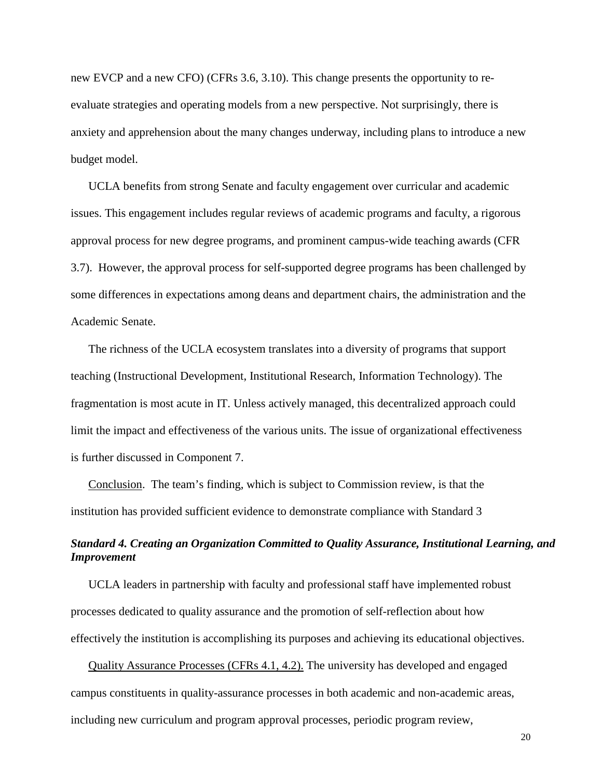new EVCP and a new CFO) (CFRs 3.6, 3.10). This change presents the opportunity to reevaluate strategies and operating models from a new perspective. Not surprisingly, there is anxiety and apprehension about the many changes underway, including plans to introduce a new budget model.

UCLA benefits from strong Senate and faculty engagement over curricular and academic issues. This engagement includes regular reviews of academic programs and faculty, a rigorous approval process for new degree programs, and prominent campus-wide teaching awards (CFR 3.7). However, the approval process for self-supported degree programs has been challenged by some differences in expectations among deans and department chairs, the administration and the Academic Senate.

The richness of the UCLA ecosystem translates into a diversity of programs that support teaching (Instructional Development, Institutional Research, Information Technology). The fragmentation is most acute in IT. Unless actively managed, this decentralized approach could limit the impact and effectiveness of the various units. The issue of organizational effectiveness is further discussed in Component 7.

Conclusion. The team's finding, which is subject to Commission review, is that the institution has provided sufficient evidence to demonstrate compliance with Standard 3

# <span id="page-20-0"></span>*Standard 4. Creating an Organization Committed to Quality Assurance, Institutional Learning, and Improvement*

UCLA leaders in partnership with faculty and professional staff have implemented robust processes dedicated to quality assurance and the promotion of self-reflection about how effectively the institution is accomplishing its purposes and achieving its educational objectives.

Quality Assurance Processes (CFRs 4.1, 4.2). The university has developed and engaged campus constituents in quality-assurance processes in both academic and non-academic areas, including new curriculum and program approval processes, periodic program review,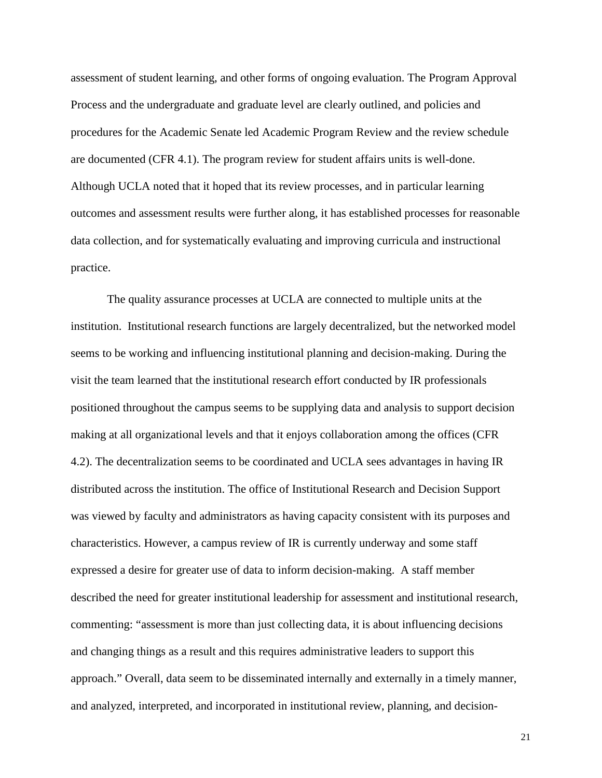assessment of student learning, and other forms of ongoing evaluation. The Program Approval Process and the undergraduate and graduate level are clearly outlined, and policies and procedures for the Academic Senate led Academic Program Review and the review schedule are documented (CFR 4.1). The program review for student affairs units is well-done. Although UCLA noted that it hoped that its review processes, and in particular learning outcomes and assessment results were further along, it has established processes for reasonable data collection, and for systematically evaluating and improving curricula and instructional practice.

The quality assurance processes at UCLA are connected to multiple units at the institution. Institutional research functions are largely decentralized, but the networked model seems to be working and influencing institutional planning and decision-making. During the visit the team learned that the institutional research effort conducted by IR professionals positioned throughout the campus seems to be supplying data and analysis to support decision making at all organizational levels and that it enjoys collaboration among the offices (CFR 4.2). The decentralization seems to be coordinated and UCLA sees advantages in having IR distributed across the institution. The office of Institutional Research and Decision Support was viewed by faculty and administrators as having capacity consistent with its purposes and characteristics. However, a campus review of IR is currently underway and some staff expressed a desire for greater use of data to inform decision-making. A staff member described the need for greater institutional leadership for assessment and institutional research, commenting: "assessment is more than just collecting data, it is about influencing decisions and changing things as a result and this requires administrative leaders to support this approach." Overall, data seem to be disseminated internally and externally in a timely manner, and analyzed, interpreted, and incorporated in institutional review, planning, and decision-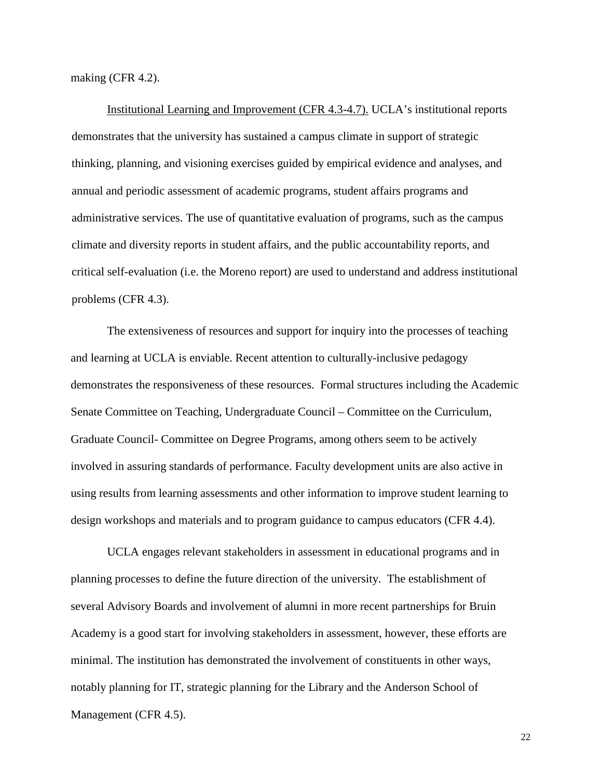making (CFR 4.2).

Institutional Learning and Improvement (CFR 4.3-4.7). UCLA's institutional reports demonstrates that the university has sustained a campus climate in support of strategic thinking, planning, and visioning exercises guided by empirical evidence and analyses, and annual and periodic assessment of academic programs, student affairs programs and administrative services. The use of quantitative evaluation of programs, such as the campus climate and diversity reports in student affairs, and the public accountability reports, and critical self-evaluation (i.e. the Moreno report) are used to understand and address institutional problems (CFR 4.3).

The extensiveness of resources and support for inquiry into the processes of teaching and learning at UCLA is enviable. Recent attention to culturally-inclusive pedagogy demonstrates the responsiveness of these resources. Formal structures including the Academic Senate Committee on Teaching, Undergraduate Council – Committee on the Curriculum, Graduate Council- Committee on Degree Programs, among others seem to be actively involved in assuring standards of performance. Faculty development units are also active in using results from learning assessments and other information to improve student learning to design workshops and materials and to program guidance to campus educators (CFR 4.4).

UCLA engages relevant stakeholders in assessment in educational programs and in planning processes to define the future direction of the university. The establishment of several Advisory Boards and involvement of alumni in more recent partnerships for Bruin Academy is a good start for involving stakeholders in assessment, however, these efforts are minimal. The institution has demonstrated the involvement of constituents in other ways, notably planning for IT, strategic planning for the Library and the Anderson School of Management (CFR 4.5).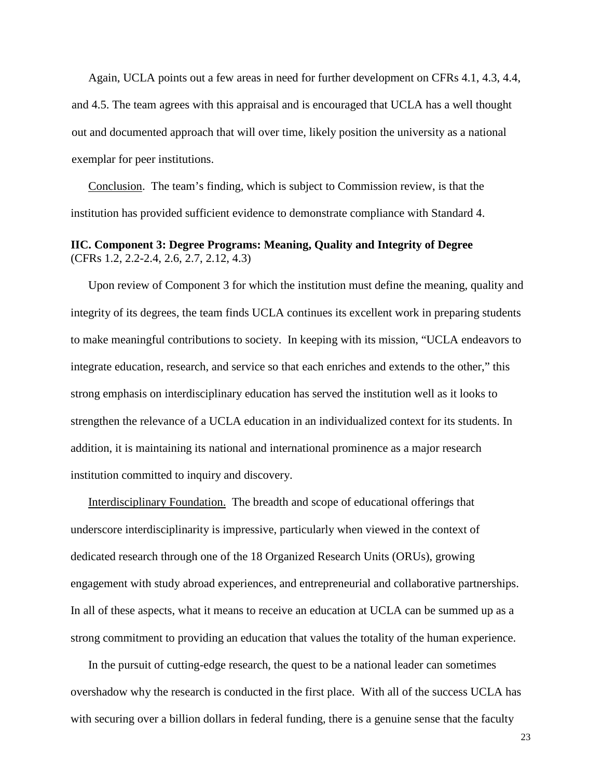Again, UCLA points out a few areas in need for further development on CFRs 4.1, 4.3, 4.4, and 4.5. The team agrees with this appraisal and is encouraged that UCLA has a well thought out and documented approach that will over time, likely position the university as a national exemplar for peer institutions.

Conclusion. The team's finding, which is subject to Commission review, is that the institution has provided sufficient evidence to demonstrate compliance with Standard 4.

# <span id="page-23-0"></span>**IIC. Component 3: Degree Programs: Meaning, Quality and Integrity of Degree** (CFRs 1.2, 2.2-2.4, 2.6, 2.7, 2.12, 4.3)

Upon review of Component 3 for which the institution must define the meaning, quality and integrity of its degrees, the team finds UCLA continues its excellent work in preparing students to make meaningful contributions to society. In keeping with its mission, "UCLA endeavors to integrate education, research, and service so that each enriches and extends to the other," this strong emphasis on interdisciplinary education has served the institution well as it looks to strengthen the relevance of a UCLA education in an individualized context for its students. In addition, it is maintaining its national and international prominence as a major research institution committed to inquiry and discovery.

Interdisciplinary Foundation. The breadth and scope of educational offerings that underscore interdisciplinarity is impressive, particularly when viewed in the context of dedicated research through one of the 18 Organized Research Units (ORUs), growing engagement with study abroad experiences, and entrepreneurial and collaborative partnerships. In all of these aspects, what it means to receive an education at UCLA can be summed up as a strong commitment to providing an education that values the totality of the human experience.

In the pursuit of cutting-edge research, the quest to be a national leader can sometimes overshadow why the research is conducted in the first place. With all of the success UCLA has with securing over a billion dollars in federal funding, there is a genuine sense that the faculty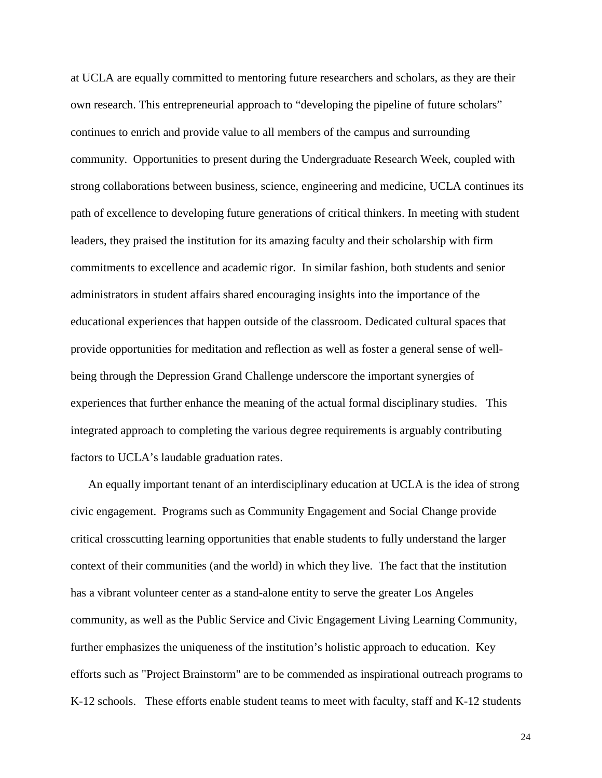at UCLA are equally committed to mentoring future researchers and scholars, as they are their own research. This entrepreneurial approach to "developing the pipeline of future scholars" continues to enrich and provide value to all members of the campus and surrounding community. Opportunities to present during the Undergraduate Research Week, coupled with strong collaborations between business, science, engineering and medicine, UCLA continues its path of excellence to developing future generations of critical thinkers. In meeting with student leaders, they praised the institution for its amazing faculty and their scholarship with firm commitments to excellence and academic rigor. In similar fashion, both students and senior administrators in student affairs shared encouraging insights into the importance of the educational experiences that happen outside of the classroom. Dedicated cultural spaces that provide opportunities for meditation and reflection as well as foster a general sense of wellbeing through the Depression Grand Challenge underscore the important synergies of experiences that further enhance the meaning of the actual formal disciplinary studies. This integrated approach to completing the various degree requirements is arguably contributing factors to UCLA's laudable graduation rates.

An equally important tenant of an interdisciplinary education at UCLA is the idea of strong civic engagement. Programs such as Community Engagement and Social Change provide critical crosscutting learning opportunities that enable students to fully understand the larger context of their communities (and the world) in which they live. The fact that the institution has a vibrant volunteer center as a stand-alone entity to serve the greater Los Angeles community, as well as the Public Service and Civic Engagement Living Learning Community, further emphasizes the uniqueness of the institution's holistic approach to education. Key efforts such as "Project Brainstorm" are to be commended as inspirational outreach programs to K-12 schools. These efforts enable student teams to meet with faculty, staff and K-12 students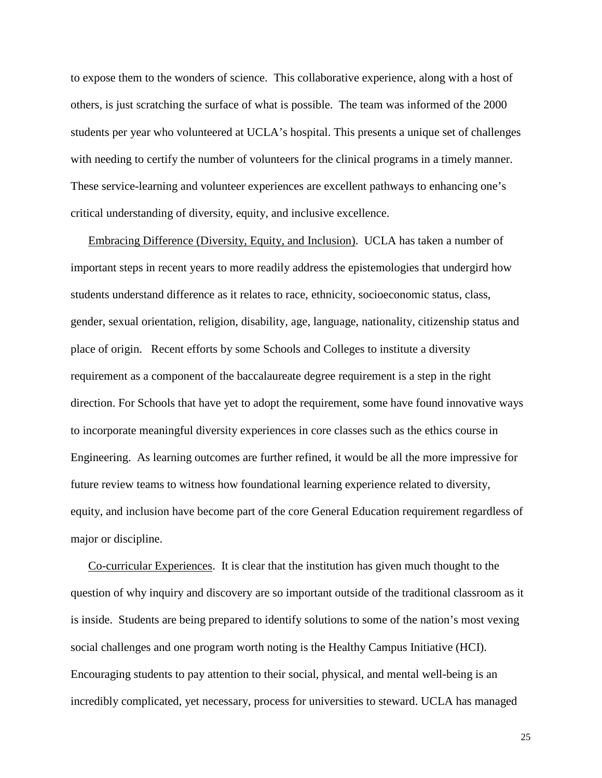to expose them to the wonders of science. This collaborative experience, along with a host of others, is just scratching the surface of what is possible. The team was informed of the 2000 students per year who volunteered at UCLA's hospital. This presents a unique set of challenges with needing to certify the number of volunteers for the clinical programs in a timely manner. These service-learning and volunteer experiences are excellent pathways to enhancing one's critical understanding of diversity, equity, and inclusive excellence.

Embracing Difference (Diversity, Equity, and Inclusion). UCLA has taken a number of important steps in recent years to more readily address the epistemologies that undergird how students understand difference as it relates to race, ethnicity, socioeconomic status, class, gender, sexual orientation, religion, disability, age, language, nationality, citizenship status and place of origin. Recent efforts by some Schools and Colleges to institute a diversity requirement as a component of the baccalaureate degree requirement is a step in the right direction. For Schools that have yet to adopt the requirement, some have found innovative ways to incorporate meaningful diversity experiences in core classes such as the ethics course in Engineering. As learning outcomes are further refined, it would be all the more impressive for future review teams to witness how foundational learning experience related to diversity, equity, and inclusion have become part of the core General Education requirement regardless of major or discipline.

Co-curricular Experiences. It is clear that the institution has given much thought to the question of why inquiry and discovery are so important outside of the traditional classroom as it is inside. Students are being prepared to identify solutions to some of the nation's most vexing social challenges and one program worth noting is the Healthy Campus Initiative (HCI). Encouraging students to pay attention to their social, physical, and mental well-being is an incredibly complicated, yet necessary, process for universities to steward. UCLA has managed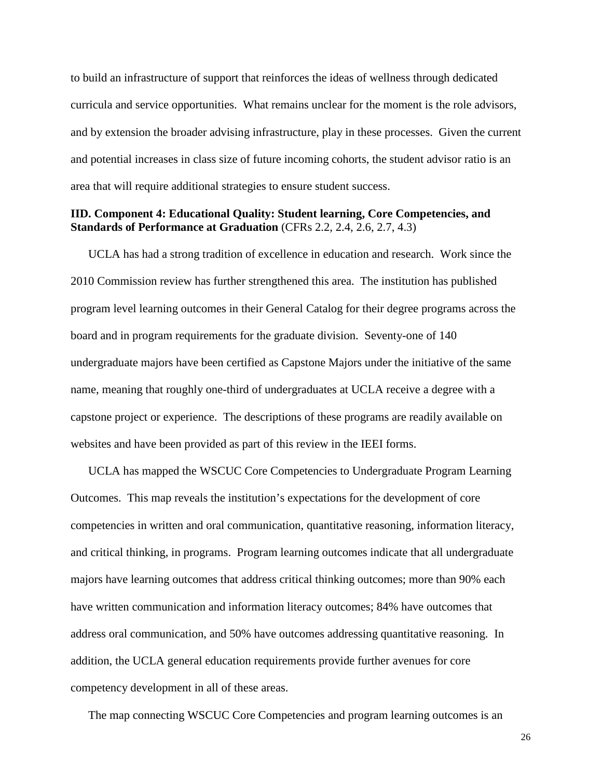to build an infrastructure of support that reinforces the ideas of wellness through dedicated curricula and service opportunities. What remains unclear for the moment is the role advisors, and by extension the broader advising infrastructure, play in these processes. Given the current and potential increases in class size of future incoming cohorts, the student advisor ratio is an area that will require additional strategies to ensure student success.

## **IID. Component 4: Educational Quality: Student learning, Core Competencies, and Standards of Performance at Graduation** (CFRs 2.2, 2.4, 2.6, 2.7, 4.3)

UCLA has had a strong tradition of excellence in education and research. Work since the 2010 Commission review has further strengthened this area. The institution has published program level learning outcomes in their General Catalog for their degree programs across the board and in program requirements for the graduate division. Seventy-one of 140 undergraduate majors have been certified as Capstone Majors under the initiative of the same name, meaning that roughly one-third of undergraduates at UCLA receive a degree with a capstone project or experience. The descriptions of these programs are readily available on websites and have been provided as part of this review in the IEEI forms.

UCLA has mapped the WSCUC Core Competencies to Undergraduate Program Learning Outcomes. This map reveals the institution's expectations for the development of core competencies in written and oral communication, quantitative reasoning, information literacy, and critical thinking, in programs. Program learning outcomes indicate that all undergraduate majors have learning outcomes that address critical thinking outcomes; more than 90% each have written communication and information literacy outcomes; 84% have outcomes that address oral communication, and 50% have outcomes addressing quantitative reasoning. In addition, the UCLA general education requirements provide further avenues for core competency development in all of these areas.

The map connecting WSCUC Core Competencies and program learning outcomes is an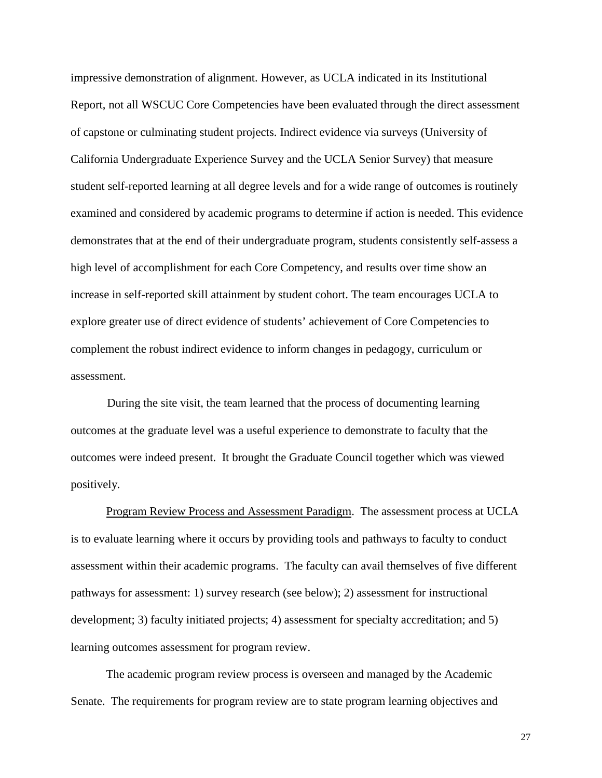impressive demonstration of alignment. However, as UCLA indicated in its Institutional Report, not all WSCUC Core Competencies have been evaluated through the direct assessment of capstone or culminating student projects. Indirect evidence via surveys (University of California Undergraduate Experience Survey and the UCLA Senior Survey) that measure student self-reported learning at all degree levels and for a wide range of outcomes is routinely examined and considered by academic programs to determine if action is needed. This evidence demonstrates that at the end of their undergraduate program, students consistently self-assess a high level of accomplishment for each Core Competency, and results over time show an increase in self-reported skill attainment by student cohort. The team encourages UCLA to explore greater use of direct evidence of students' achievement of Core Competencies to complement the robust indirect evidence to inform changes in pedagogy, curriculum or assessment.

During the site visit, the team learned that the process of documenting learning outcomes at the graduate level was a useful experience to demonstrate to faculty that the outcomes were indeed present. It brought the Graduate Council together which was viewed positively.

Program Review Process and Assessment Paradigm. The assessment process at UCLA is to evaluate learning where it occurs by providing tools and pathways to faculty to conduct assessment within their academic programs. The faculty can avail themselves of five different pathways for assessment: 1) survey research (see below); 2) assessment for instructional development; 3) faculty initiated projects; 4) assessment for specialty accreditation; and 5) learning outcomes assessment for program review.

The academic program review process is overseen and managed by the Academic Senate. The requirements for program review are to state program learning objectives and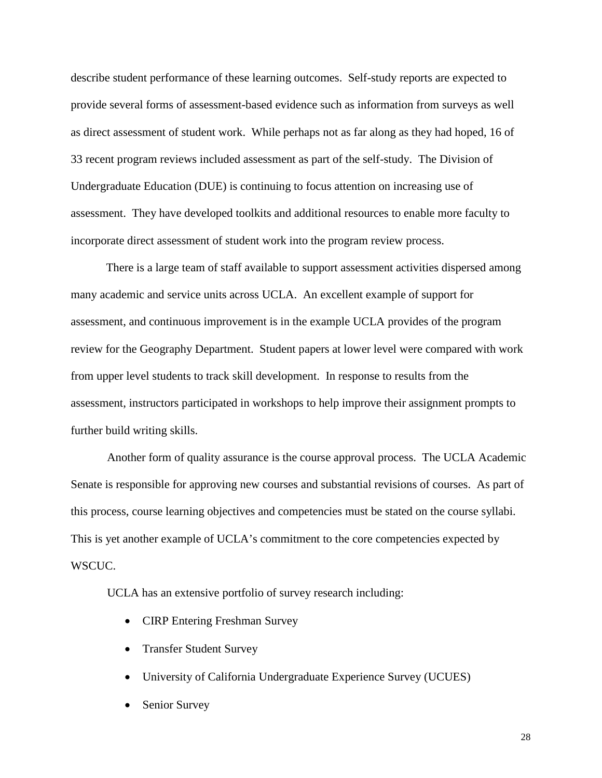describe student performance of these learning outcomes. Self-study reports are expected to provide several forms of assessment-based evidence such as information from surveys as well as direct assessment of student work. While perhaps not as far along as they had hoped, 16 of 33 recent program reviews included assessment as part of the self-study. The Division of Undergraduate Education (DUE) is continuing to focus attention on increasing use of assessment. They have developed toolkits and additional resources to enable more faculty to incorporate direct assessment of student work into the program review process.

There is a large team of staff available to support assessment activities dispersed among many academic and service units across UCLA. An excellent example of support for assessment, and continuous improvement is in the example UCLA provides of the program review for the Geography Department. Student papers at lower level were compared with work from upper level students to track skill development. In response to results from the assessment, instructors participated in workshops to help improve their assignment prompts to further build writing skills.

Another form of quality assurance is the course approval process. The UCLA Academic Senate is responsible for approving new courses and substantial revisions of courses. As part of this process, course learning objectives and competencies must be stated on the course syllabi. This is yet another example of UCLA's commitment to the core competencies expected by WSCUC.

UCLA has an extensive portfolio of survey research including:

- CIRP Entering Freshman Survey
- Transfer Student Survey
- University of California Undergraduate Experience Survey (UCUES)
- Senior Survey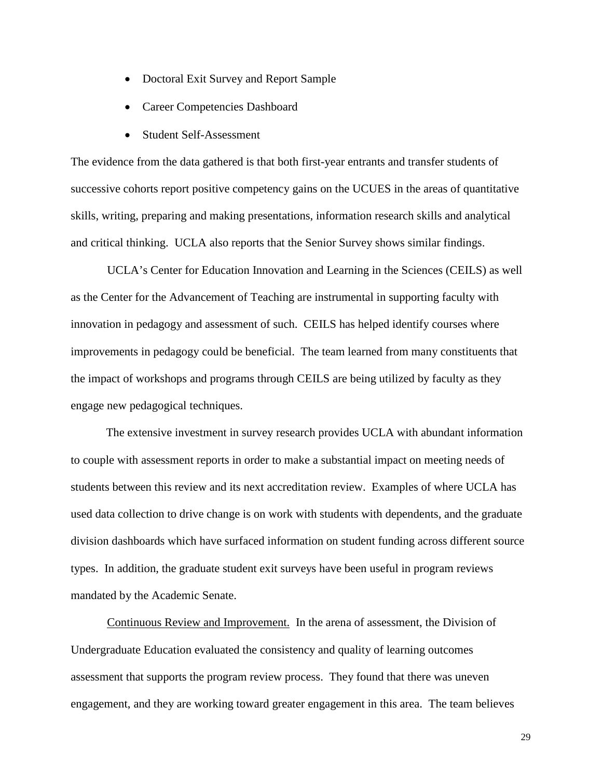- Doctoral Exit Survey and Report Sample
- Career Competencies Dashboard
- Student Self-Assessment

The evidence from the data gathered is that both first-year entrants and transfer students of successive cohorts report positive competency gains on the UCUES in the areas of quantitative skills, writing, preparing and making presentations, information research skills and analytical and critical thinking. UCLA also reports that the Senior Survey shows similar findings.

UCLA's Center for Education Innovation and Learning in the Sciences (CEILS) as well as the Center for the Advancement of Teaching are instrumental in supporting faculty with innovation in pedagogy and assessment of such. CEILS has helped identify courses where improvements in pedagogy could be beneficial. The team learned from many constituents that the impact of workshops and programs through CEILS are being utilized by faculty as they engage new pedagogical techniques.

The extensive investment in survey research provides UCLA with abundant information to couple with assessment reports in order to make a substantial impact on meeting needs of students between this review and its next accreditation review. Examples of where UCLA has used data collection to drive change is on work with students with dependents, and the graduate division dashboards which have surfaced information on student funding across different source types. In addition, the graduate student exit surveys have been useful in program reviews mandated by the Academic Senate.

Continuous Review and Improvement. In the arena of assessment, the Division of Undergraduate Education evaluated the consistency and quality of learning outcomes assessment that supports the program review process. They found that there was uneven engagement, and they are working toward greater engagement in this area. The team believes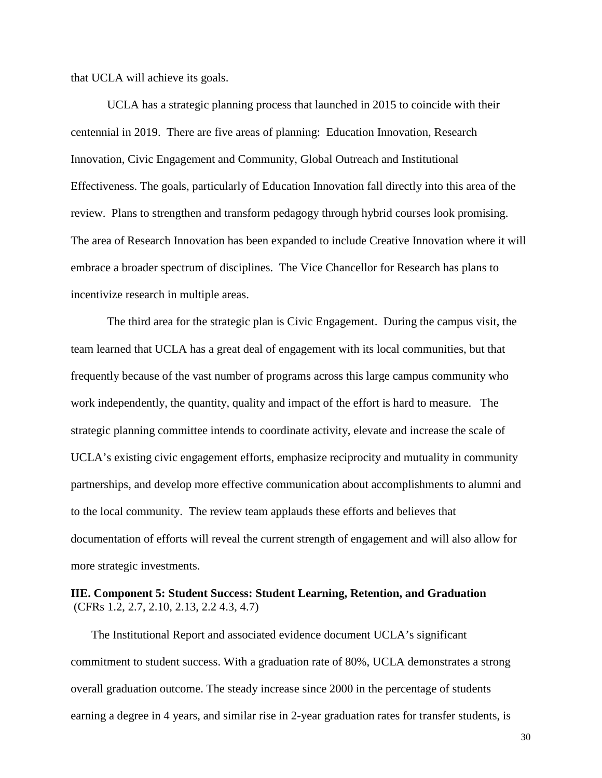that UCLA will achieve its goals.

UCLA has a strategic planning process that launched in 2015 to coincide with their centennial in 2019. There are five areas of planning: Education Innovation, Research Innovation, Civic Engagement and Community, Global Outreach and Institutional Effectiveness. The goals, particularly of Education Innovation fall directly into this area of the review. Plans to strengthen and transform pedagogy through hybrid courses look promising. The area of Research Innovation has been expanded to include Creative Innovation where it will embrace a broader spectrum of disciplines. The Vice Chancellor for Research has plans to incentivize research in multiple areas.

The third area for the strategic plan is Civic Engagement. During the campus visit, the team learned that UCLA has a great deal of engagement with its local communities, but that frequently because of the vast number of programs across this large campus community who work independently, the quantity, quality and impact of the effort is hard to measure. The strategic planning committee intends to coordinate activity, elevate and increase the scale of UCLA's existing civic engagement efforts, emphasize reciprocity and mutuality in community partnerships, and develop more effective communication about accomplishments to alumni and to the local community. The review team applauds these efforts and believes that documentation of efforts will reveal the current strength of engagement and will also allow for more strategic investments.

# <span id="page-30-0"></span>**IIE. Component 5: Student Success: Student Learning, Retention, and Graduation** (CFRs 1.2, 2.7, 2.10, 2.13, 2.2 4.3, 4.7)

The Institutional Report and associated evidence document UCLA's significant commitment to student success. With a graduation rate of 80%, UCLA demonstrates a strong overall graduation outcome. The steady increase since 2000 in the percentage of students earning a degree in 4 years, and similar rise in 2-year graduation rates for transfer students, is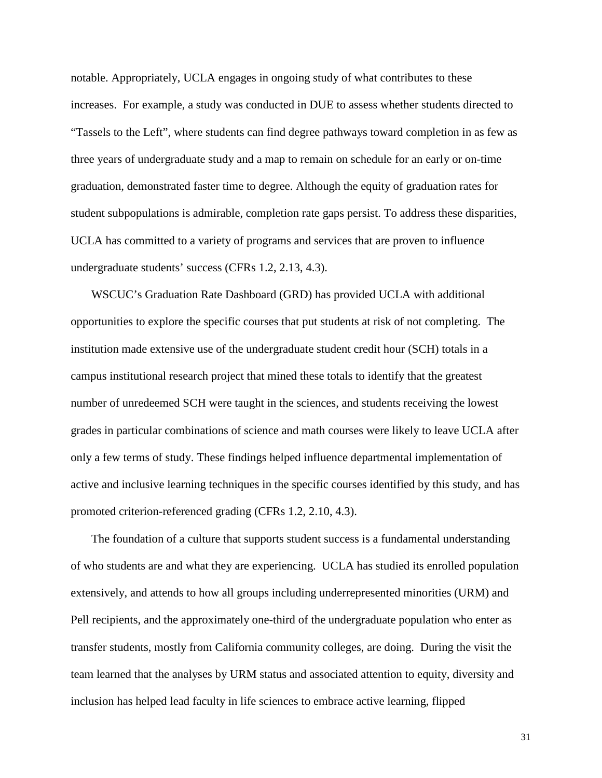notable. Appropriately, UCLA engages in ongoing study of what contributes to these increases. For example, a study was conducted in DUE to assess whether students directed to "Tassels to the Left", where students can find degree pathways toward completion in as few as three years of undergraduate study and a map to remain on schedule for an early or on-time graduation, demonstrated faster time to degree. Although the equity of graduation rates for student subpopulations is admirable, completion rate gaps persist. To address these disparities, UCLA has committed to a variety of programs and services that are proven to influence undergraduate students' success (CFRs 1.2, 2.13, 4.3).

WSCUC's Graduation Rate Dashboard (GRD) has provided UCLA with additional opportunities to explore the specific courses that put students at risk of not completing. The institution made extensive use of the undergraduate student credit hour (SCH) totals in a campus institutional research project that mined these totals to identify that the greatest number of unredeemed SCH were taught in the sciences, and students receiving the lowest grades in particular combinations of science and math courses were likely to leave UCLA after only a few terms of study. These findings helped influence departmental implementation of active and inclusive learning techniques in the specific courses identified by this study, and has promoted criterion-referenced grading (CFRs 1.2, 2.10, 4.3).

The foundation of a culture that supports student success is a fundamental understanding of who students are and what they are experiencing. UCLA has studied its enrolled population extensively, and attends to how all groups including underrepresented minorities (URM) and Pell recipients, and the approximately one-third of the undergraduate population who enter as transfer students, mostly from California community colleges, are doing. During the visit the team learned that the analyses by URM status and associated attention to equity, diversity and inclusion has helped lead faculty in life sciences to embrace active learning, flipped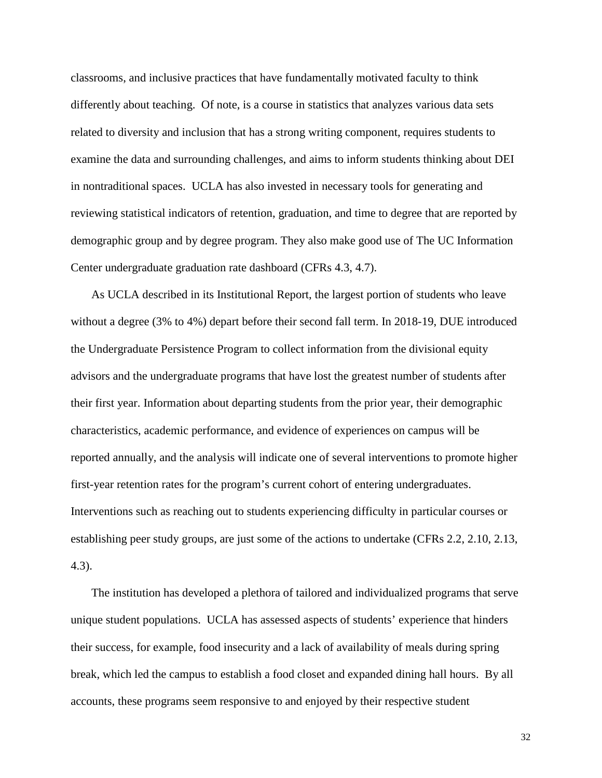classrooms, and inclusive practices that have fundamentally motivated faculty to think differently about teaching. Of note, is a course in statistics that analyzes various data sets related to diversity and inclusion that has a strong writing component, requires students to examine the data and surrounding challenges, and aims to inform students thinking about DEI in nontraditional spaces. UCLA has also invested in necessary tools for generating and reviewing statistical indicators of retention, graduation, and time to degree that are reported by demographic group and by degree program. They also make good use of The UC Information Center undergraduate graduation rate dashboard (CFRs 4.3, 4.7).

As UCLA described in its Institutional Report, the largest portion of students who leave without a degree (3% to 4%) depart before their second fall term. In 2018-19, DUE introduced the Undergraduate Persistence Program to collect information from the divisional equity advisors and the undergraduate programs that have lost the greatest number of students after their first year. Information about departing students from the prior year, their demographic characteristics, academic performance, and evidence of experiences on campus will be reported annually, and the analysis will indicate one of several interventions to promote higher first-year retention rates for the program's current cohort of entering undergraduates. Interventions such as reaching out to students experiencing difficulty in particular courses or establishing peer study groups, are just some of the actions to undertake (CFRs 2.2, 2.10, 2.13, 4.3).

The institution has developed a plethora of tailored and individualized programs that serve unique student populations. UCLA has assessed aspects of students' experience that hinders their success, for example, food insecurity and a lack of availability of meals during spring break, which led the campus to establish a food closet and expanded dining hall hours. By all accounts, these programs seem responsive to and enjoyed by their respective student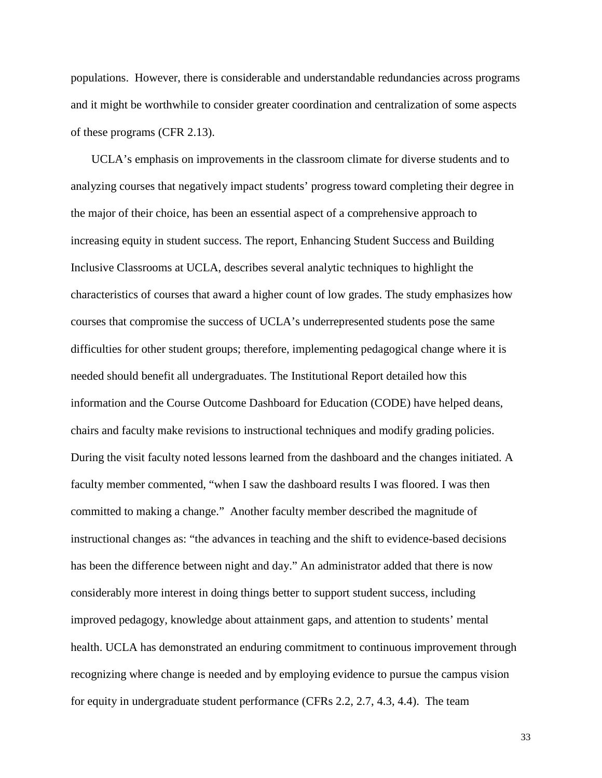populations. However, there is considerable and understandable redundancies across programs and it might be worthwhile to consider greater coordination and centralization of some aspects of these programs (CFR 2.13).

UCLA's emphasis on improvements in the classroom climate for diverse students and to analyzing courses that negatively impact students' progress toward completing their degree in the major of their choice, has been an essential aspect of a comprehensive approach to increasing equity in student success. The report, Enhancing Student Success and Building Inclusive Classrooms at UCLA, describes several analytic techniques to highlight the characteristics of courses that award a higher count of low grades. The study emphasizes how courses that compromise the success of UCLA's underrepresented students pose the same difficulties for other student groups; therefore, implementing pedagogical change where it is needed should benefit all undergraduates. The Institutional Report detailed how this information and the Course Outcome Dashboard for Education (CODE) have helped deans, chairs and faculty make revisions to instructional techniques and modify grading policies. During the visit faculty noted lessons learned from the dashboard and the changes initiated. A faculty member commented, "when I saw the dashboard results I was floored. I was then committed to making a change." Another faculty member described the magnitude of instructional changes as: "the advances in teaching and the shift to evidence-based decisions has been the difference between night and day." An administrator added that there is now considerably more interest in doing things better to support student success, including improved pedagogy, knowledge about attainment gaps, and attention to students' mental health. UCLA has demonstrated an enduring commitment to continuous improvement through recognizing where change is needed and by employing evidence to pursue the campus vision for equity in undergraduate student performance (CFRs 2.2, 2.7, 4.3, 4.4). The team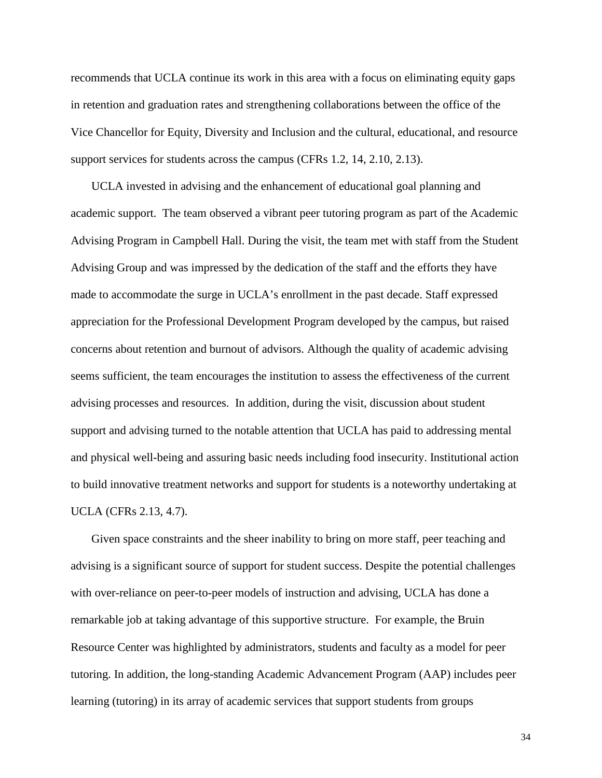recommends that UCLA continue its work in this area with a focus on eliminating equity gaps in retention and graduation rates and strengthening collaborations between the office of the Vice Chancellor for Equity, Diversity and Inclusion and the cultural, educational, and resource support services for students across the campus (CFRs 1.2, 14, 2.10, 2.13).

UCLA invested in advising and the enhancement of educational goal planning and academic support. The team observed a vibrant peer tutoring program as part of the Academic Advising Program in Campbell Hall. During the visit, the team met with staff from the Student Advising Group and was impressed by the dedication of the staff and the efforts they have made to accommodate the surge in UCLA's enrollment in the past decade. Staff expressed appreciation for the Professional Development Program developed by the campus, but raised concerns about retention and burnout of advisors. Although the quality of academic advising seems sufficient, the team encourages the institution to assess the effectiveness of the current advising processes and resources. In addition, during the visit, discussion about student support and advising turned to the notable attention that UCLA has paid to addressing mental and physical well-being and assuring basic needs including food insecurity. Institutional action to build innovative treatment networks and support for students is a noteworthy undertaking at UCLA (CFRs 2.13, 4.7).

Given space constraints and the sheer inability to bring on more staff, peer teaching and advising is a significant source of support for student success. Despite the potential challenges with over-reliance on peer-to-peer models of instruction and advising, UCLA has done a remarkable job at taking advantage of this supportive structure. For example, the Bruin Resource Center was highlighted by administrators, students and faculty as a model for peer tutoring. In addition, the long-standing Academic Advancement Program (AAP) includes peer learning (tutoring) in its array of academic services that support students from groups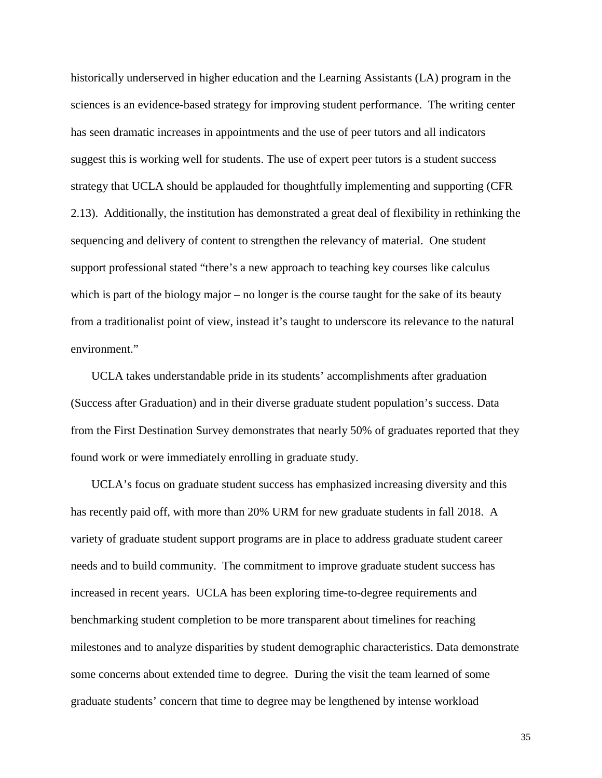historically underserved in higher education and the Learning Assistants (LA) program in the sciences is an evidence-based strategy for improving student performance. The writing center has seen dramatic increases in appointments and the use of peer tutors and all indicators suggest this is working well for students. The use of expert peer tutors is a student success strategy that UCLA should be applauded for thoughtfully implementing and supporting (CFR 2.13). Additionally, the institution has demonstrated a great deal of flexibility in rethinking the sequencing and delivery of content to strengthen the relevancy of material. One student support professional stated "there's a new approach to teaching key courses like calculus which is part of the biology major – no longer is the course taught for the sake of its beauty from a traditionalist point of view, instead it's taught to underscore its relevance to the natural environment."

UCLA takes understandable pride in its students' accomplishments after graduation (Success after Graduation) and in their diverse graduate student population's success. Data from the First Destination Survey demonstrates that nearly 50% of graduates reported that they found work or were immediately enrolling in graduate study.

UCLA's focus on graduate student success has emphasized increasing diversity and this has recently paid off, with more than 20% URM for new graduate students in fall 2018. A variety of graduate student support programs are in place to address graduate student career needs and to build community. The commitment to improve graduate student success has increased in recent years. UCLA has been exploring time-to-degree requirements and benchmarking student completion to be more transparent about timelines for reaching milestones and to analyze disparities by student demographic characteristics. Data demonstrate some concerns about extended time to degree. During the visit the team learned of some graduate students' concern that time to degree may be lengthened by intense workload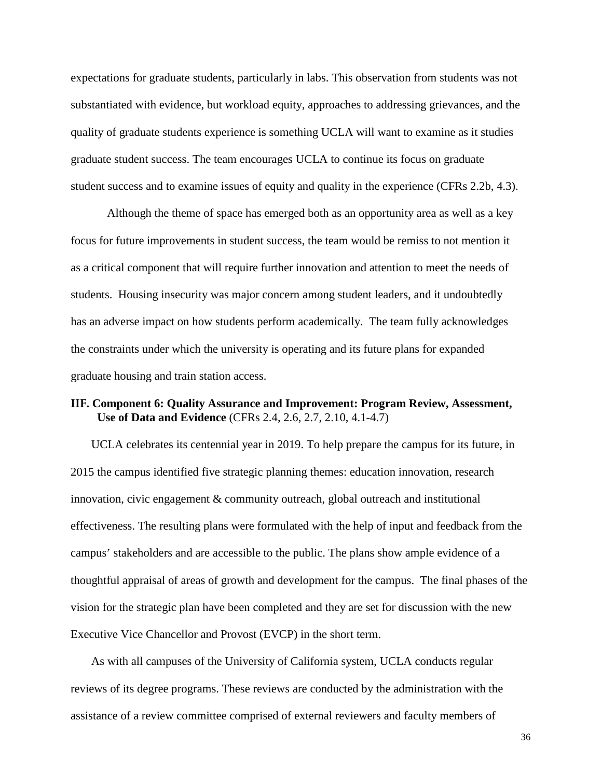expectations for graduate students, particularly in labs. This observation from students was not substantiated with evidence, but workload equity, approaches to addressing grievances, and the quality of graduate students experience is something UCLA will want to examine as it studies graduate student success. The team encourages UCLA to continue its focus on graduate student success and to examine issues of equity and quality in the experience (CFRs 2.2b, 4.3).

Although the theme of space has emerged both as an opportunity area as well as a key focus for future improvements in student success, the team would be remiss to not mention it as a critical component that will require further innovation and attention to meet the needs of students. Housing insecurity was major concern among student leaders, and it undoubtedly has an adverse impact on how students perform academically. The team fully acknowledges the constraints under which the university is operating and its future plans for expanded graduate housing and train station access.

## **IIF. Component 6: Quality Assurance and Improvement: Program Review, Assessment, Use of Data and Evidence** (CFRs 2.4, 2.6, 2.7, 2.10, 4.1-4.7)

UCLA celebrates its centennial year in 2019. To help prepare the campus for its future, in 2015 the campus identified five strategic planning themes: education innovation, research innovation, civic engagement & community outreach, global outreach and institutional effectiveness. The resulting plans were formulated with the help of input and feedback from the campus' stakeholders and are accessible to the public. The plans show ample evidence of a thoughtful appraisal of areas of growth and development for the campus. The final phases of the vision for the strategic plan have been completed and they are set for discussion with the new Executive Vice Chancellor and Provost (EVCP) in the short term.

As with all campuses of the University of California system, UCLA conducts regular reviews of its degree programs. These reviews are conducted by the administration with the assistance of a review committee comprised of external reviewers and faculty members of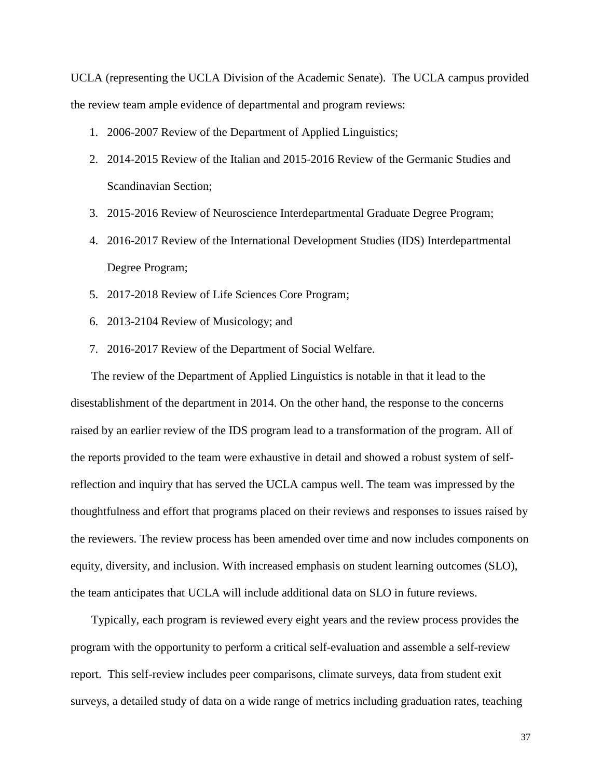UCLA (representing the UCLA Division of the Academic Senate). The UCLA campus provided the review team ample evidence of departmental and program reviews:

- 1. 2006-2007 Review of the Department of Applied Linguistics;
- 2. 2014-2015 Review of the Italian and 2015-2016 Review of the Germanic Studies and Scandinavian Section;
- 3. 2015-2016 Review of Neuroscience Interdepartmental Graduate Degree Program;
- 4. 2016-2017 Review of the International Development Studies (IDS) Interdepartmental Degree Program;
- 5. 2017-2018 Review of Life Sciences Core Program;
- 6. 2013-2104 Review of Musicology; and
- 7. 2016-2017 Review of the Department of Social Welfare.

The review of the Department of Applied Linguistics is notable in that it lead to the disestablishment of the department in 2014. On the other hand, the response to the concerns raised by an earlier review of the IDS program lead to a transformation of the program. All of the reports provided to the team were exhaustive in detail and showed a robust system of selfreflection and inquiry that has served the UCLA campus well. The team was impressed by the thoughtfulness and effort that programs placed on their reviews and responses to issues raised by the reviewers. The review process has been amended over time and now includes components on equity, diversity, and inclusion. With increased emphasis on student learning outcomes (SLO), the team anticipates that UCLA will include additional data on SLO in future reviews.

Typically, each program is reviewed every eight years and the review process provides the program with the opportunity to perform a critical self-evaluation and assemble a self-review report. This self-review includes peer comparisons, climate surveys, data from student exit surveys, a detailed study of data on a wide range of metrics including graduation rates, teaching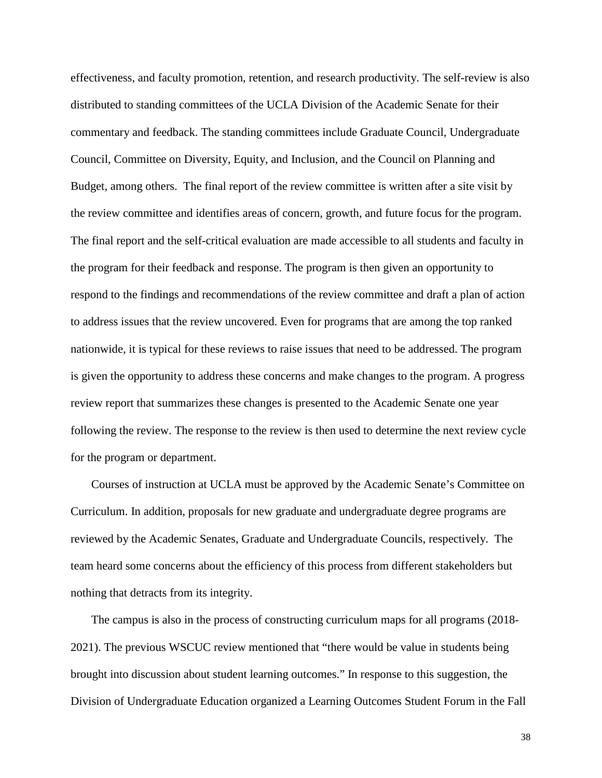effectiveness, and faculty promotion, retention, and research productivity. The self-review is also distributed to standing committees of the UCLA Division of the Academic Senate for their commentary and feedback. The standing committees include Graduate Council, Undergraduate Council, Committee on Diversity, Equity, and Inclusion, and the Council on Planning and Budget, among others. The final report of the review committee is written after a site visit by the review committee and identifies areas of concern, growth, and future focus for the program. The final report and the self-critical evaluation are made accessible to all students and faculty in the program for their feedback and response. The program is then given an opportunity to respond to the findings and recommendations of the review committee and draft a plan of action to address issues that the review uncovered. Even for programs that are among the top ranked nationwide, it is typical for these reviews to raise issues that need to be addressed. The program is given the opportunity to address these concerns and make changes to the program. A progress review report that summarizes these changes is presented to the Academic Senate one year following the review. The response to the review is then used to determine the next review cycle for the program or department.

Courses of instruction at UCLA must be approved by the Academic Senate's Committee on Curriculum. In addition, proposals for new graduate and undergraduate degree programs are reviewed by the Academic Senates, Graduate and Undergraduate Councils, respectively. The team heard some concerns about the efficiency of this process from different stakeholders but nothing that detracts from its integrity.

The campus is also in the process of constructing curriculum maps for all programs (2018- 2021). The previous WSCUC review mentioned that "there would be value in students being brought into discussion about student learning outcomes." In response to this suggestion, the Division of Undergraduate Education organized a Learning Outcomes Student Forum in the Fall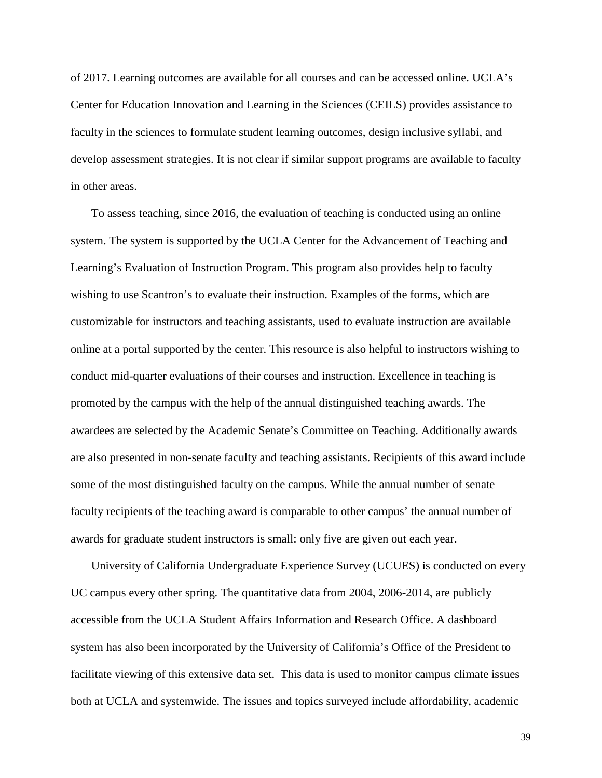of 2017. Learning outcomes are available for all courses and can be accessed online. UCLA's Center for Education Innovation and Learning in the Sciences (CEILS) provides assistance to faculty in the sciences to formulate student learning outcomes, design inclusive syllabi, and develop assessment strategies. It is not clear if similar support programs are available to faculty in other areas.

To assess teaching, since 2016, the evaluation of teaching is conducted using an online system. The system is supported by the UCLA Center for the Advancement of Teaching and Learning's Evaluation of Instruction Program. This program also provides help to faculty wishing to use Scantron's to evaluate their instruction. Examples of the forms, which are customizable for instructors and teaching assistants, used to evaluate instruction are available online at a portal supported by the center. This resource is also helpful to instructors wishing to conduct mid-quarter evaluations of their courses and instruction. Excellence in teaching is promoted by the campus with the help of the annual distinguished teaching awards. The awardees are selected by the Academic Senate's Committee on Teaching. Additionally awards are also presented in non-senate faculty and teaching assistants. Recipients of this award include some of the most distinguished faculty on the campus. While the annual number of senate faculty recipients of the teaching award is comparable to other campus' the annual number of awards for graduate student instructors is small: only five are given out each year.

University of California Undergraduate Experience Survey (UCUES) is conducted on every UC campus every other spring. The quantitative data from 2004, 2006-2014, are publicly accessible from the UCLA Student Affairs Information and Research Office. A dashboard system has also been incorporated by the University of California's Office of the President to facilitate viewing of this extensive data set. This data is used to monitor campus climate issues both at UCLA and systemwide. The issues and topics surveyed include affordability, academic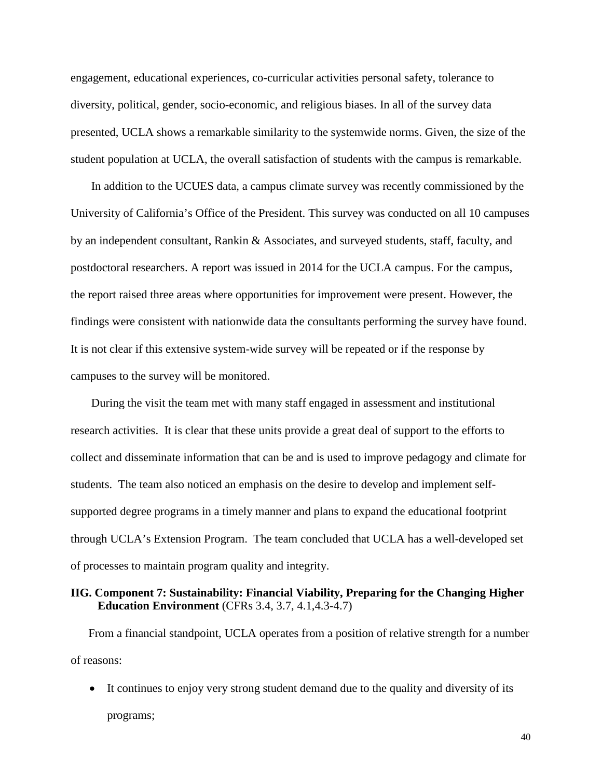engagement, educational experiences, co-curricular activities personal safety, tolerance to diversity, political, gender, socio-economic, and religious biases. In all of the survey data presented, UCLA shows a remarkable similarity to the systemwide norms. Given, the size of the student population at UCLA, the overall satisfaction of students with the campus is remarkable.

In addition to the UCUES data, a campus climate survey was recently commissioned by the University of California's Office of the President. This survey was conducted on all 10 campuses by an independent consultant, Rankin & Associates, and surveyed students, staff, faculty, and postdoctoral researchers. A report was issued in 2014 for the UCLA campus. For the campus, the report raised three areas where opportunities for improvement were present. However, the findings were consistent with nationwide data the consultants performing the survey have found. It is not clear if this extensive system-wide survey will be repeated or if the response by campuses to the survey will be monitored.

During the visit the team met with many staff engaged in assessment and institutional research activities. It is clear that these units provide a great deal of support to the efforts to collect and disseminate information that can be and is used to improve pedagogy and climate for students. The team also noticed an emphasis on the desire to develop and implement selfsupported degree programs in a timely manner and plans to expand the educational footprint through UCLA's Extension Program. The team concluded that UCLA has a well-developed set of processes to maintain program quality and integrity.

## **IIG. Component 7: Sustainability: Financial Viability, Preparing for the Changing Higher Education Environment** (CFRs 3.4, 3.7, 4.1,4.3-4.7)

From a financial standpoint, UCLA operates from a position of relative strength for a number of reasons:

• It continues to enjoy very strong student demand due to the quality and diversity of its programs;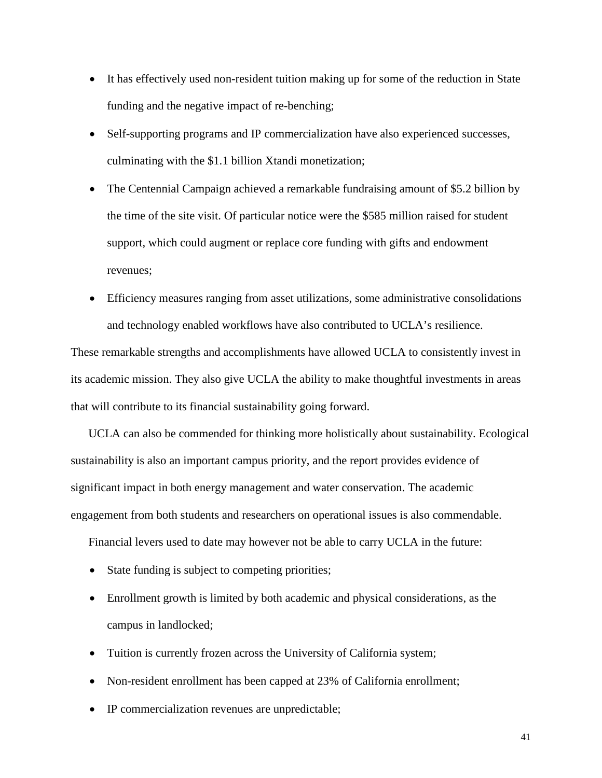- It has effectively used non-resident tuition making up for some of the reduction in State funding and the negative impact of re-benching;
- Self-supporting programs and IP commercialization have also experienced successes, culminating with the \$1.1 billion Xtandi monetization;
- The Centennial Campaign achieved a remarkable fundraising amount of \$5.2 billion by the time of the site visit. Of particular notice were the \$585 million raised for student support, which could augment or replace core funding with gifts and endowment revenues;
- Efficiency measures ranging from asset utilizations, some administrative consolidations and technology enabled workflows have also contributed to UCLA's resilience.

These remarkable strengths and accomplishments have allowed UCLA to consistently invest in its academic mission. They also give UCLA the ability to make thoughtful investments in areas that will contribute to its financial sustainability going forward.

UCLA can also be commended for thinking more holistically about sustainability. Ecological sustainability is also an important campus priority, and the report provides evidence of significant impact in both energy management and water conservation. The academic engagement from both students and researchers on operational issues is also commendable.

Financial levers used to date may however not be able to carry UCLA in the future:

- State funding is subject to competing priorities;
- Enrollment growth is limited by both academic and physical considerations, as the campus in landlocked;
- Tuition is currently frozen across the University of California system;
- Non-resident enrollment has been capped at 23% of California enrollment;
- IP commercialization revenues are unpredictable;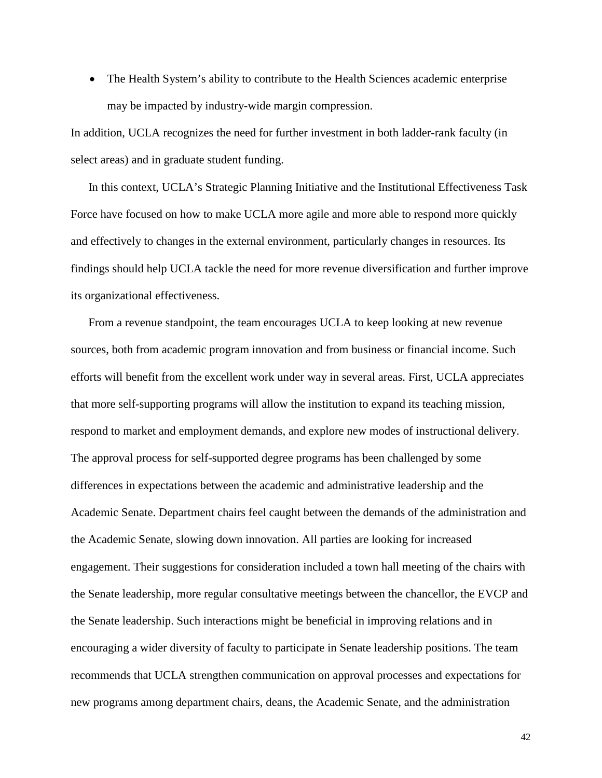• The Health System's ability to contribute to the Health Sciences academic enterprise may be impacted by industry-wide margin compression.

In addition, UCLA recognizes the need for further investment in both ladder-rank faculty (in select areas) and in graduate student funding.

In this context, UCLA's Strategic Planning Initiative and the Institutional Effectiveness Task Force have focused on how to make UCLA more agile and more able to respond more quickly and effectively to changes in the external environment, particularly changes in resources. Its findings should help UCLA tackle the need for more revenue diversification and further improve its organizational effectiveness.

From a revenue standpoint, the team encourages UCLA to keep looking at new revenue sources, both from academic program innovation and from business or financial income. Such efforts will benefit from the excellent work under way in several areas. First, UCLA appreciates that more self-supporting programs will allow the institution to expand its teaching mission, respond to market and employment demands, and explore new modes of instructional delivery. The approval process for self-supported degree programs has been challenged by some differences in expectations between the academic and administrative leadership and the Academic Senate. Department chairs feel caught between the demands of the administration and the Academic Senate, slowing down innovation. All parties are looking for increased engagement. Their suggestions for consideration included a town hall meeting of the chairs with the Senate leadership, more regular consultative meetings between the chancellor, the EVCP and the Senate leadership. Such interactions might be beneficial in improving relations and in encouraging a wider diversity of faculty to participate in Senate leadership positions. The team recommends that UCLA strengthen communication on approval processes and expectations for new programs among department chairs, deans, the Academic Senate, and the administration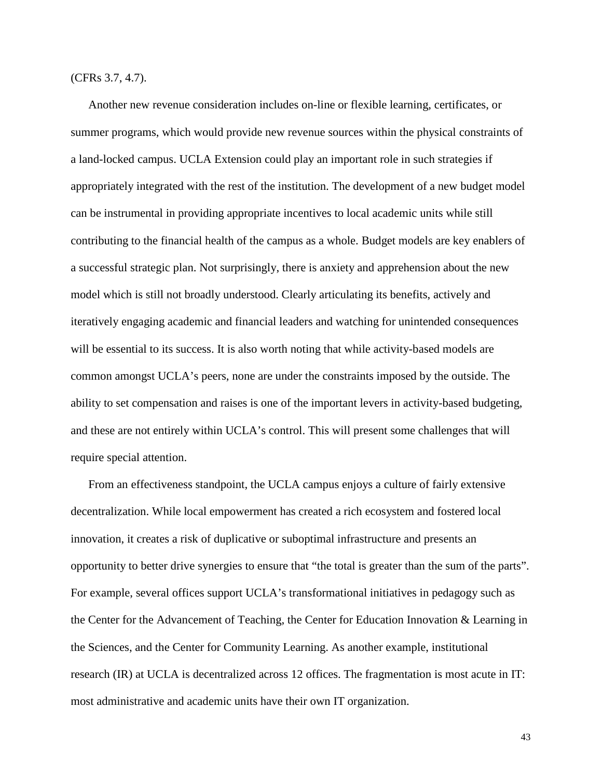(CFRs 3.7, 4.7).

Another new revenue consideration includes on-line or flexible learning, certificates, or summer programs, which would provide new revenue sources within the physical constraints of a land-locked campus. UCLA Extension could play an important role in such strategies if appropriately integrated with the rest of the institution. The development of a new budget model can be instrumental in providing appropriate incentives to local academic units while still contributing to the financial health of the campus as a whole. Budget models are key enablers of a successful strategic plan. Not surprisingly, there is anxiety and apprehension about the new model which is still not broadly understood. Clearly articulating its benefits, actively and iteratively engaging academic and financial leaders and watching for unintended consequences will be essential to its success. It is also worth noting that while activity-based models are common amongst UCLA's peers, none are under the constraints imposed by the outside. The ability to set compensation and raises is one of the important levers in activity-based budgeting, and these are not entirely within UCLA's control. This will present some challenges that will require special attention.

From an effectiveness standpoint, the UCLA campus enjoys a culture of fairly extensive decentralization. While local empowerment has created a rich ecosystem and fostered local innovation, it creates a risk of duplicative or suboptimal infrastructure and presents an opportunity to better drive synergies to ensure that "the total is greater than the sum of the parts". For example, several offices support UCLA's transformational initiatives in pedagogy such as the Center for the Advancement of Teaching, the Center for Education Innovation & Learning in the Sciences, and the Center for Community Learning. As another example, institutional research (IR) at UCLA is decentralized across 12 offices. The fragmentation is most acute in IT: most administrative and academic units have their own IT organization.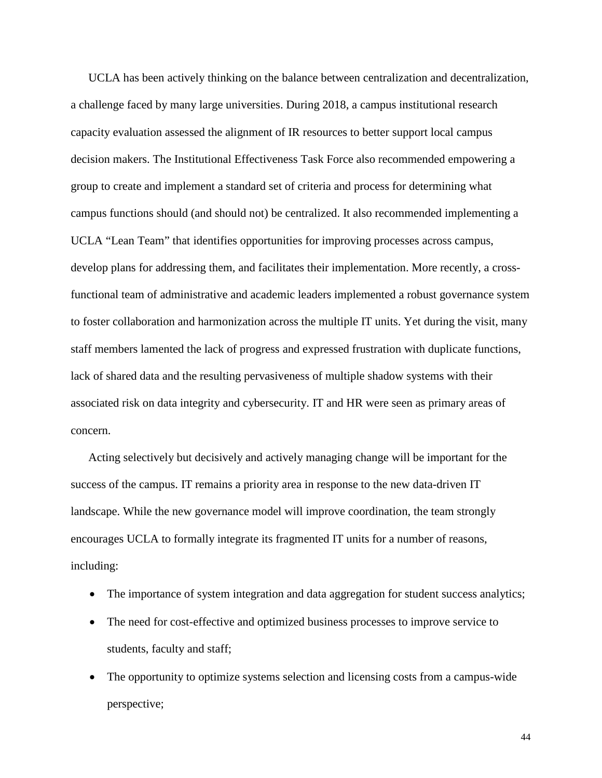UCLA has been actively thinking on the balance between centralization and decentralization, a challenge faced by many large universities. During 2018, a campus institutional research capacity evaluation assessed the alignment of IR resources to better support local campus decision makers. The Institutional Effectiveness Task Force also recommended empowering a group to create and implement a standard set of criteria and process for determining what campus functions should (and should not) be centralized. It also recommended implementing a UCLA "Lean Team" that identifies opportunities for improving processes across campus, develop plans for addressing them, and facilitates their implementation. More recently, a crossfunctional team of administrative and academic leaders implemented a robust governance system to foster collaboration and harmonization across the multiple IT units. Yet during the visit, many staff members lamented the lack of progress and expressed frustration with duplicate functions, lack of shared data and the resulting pervasiveness of multiple shadow systems with their associated risk on data integrity and cybersecurity. IT and HR were seen as primary areas of concern.

Acting selectively but decisively and actively managing change will be important for the success of the campus. IT remains a priority area in response to the new data-driven IT landscape. While the new governance model will improve coordination, the team strongly encourages UCLA to formally integrate its fragmented IT units for a number of reasons, including:

- The importance of system integration and data aggregation for student success analytics;
- The need for cost-effective and optimized business processes to improve service to students, faculty and staff;
- The opportunity to optimize systems selection and licensing costs from a campus-wide perspective;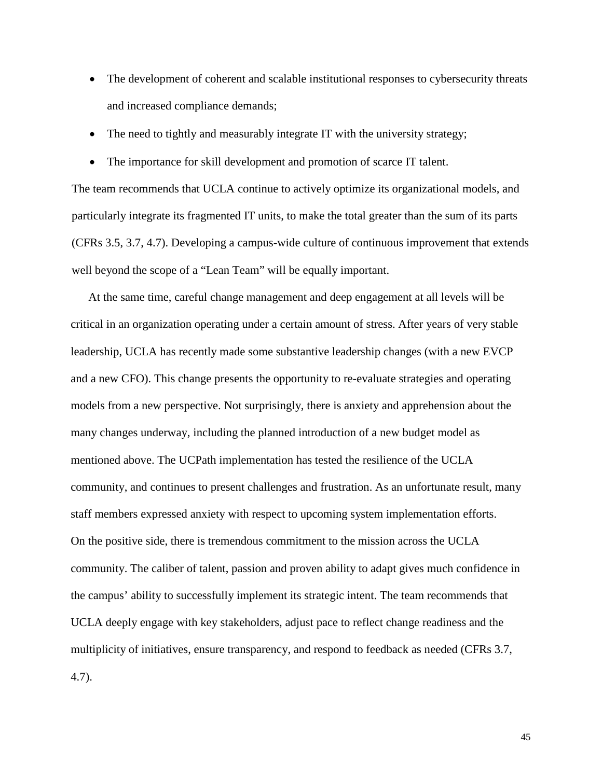- <span id="page-45-0"></span>• The development of coherent and scalable institutional responses to cybersecurity threats and increased compliance demands;
- The need to tightly and measurably integrate IT with the university strategy;
- The importance for skill development and promotion of scarce IT talent.

The team recommends that UCLA continue to actively optimize its organizational models, and particularly integrate its fragmented IT units, to make the total greater than the sum of its parts (CFRs 3.5, 3.7, 4.7). Developing a campus-wide culture of continuous improvement that extends well beyond the scope of a "Lean Team" will be equally important.

At the same time, careful change management and deep engagement at all levels will be critical in an organization operating under a certain amount of stress. After years of very stable leadership, UCLA has recently made some substantive leadership changes (with a new EVCP and a new CFO). This change presents the opportunity to re-evaluate strategies and operating models from a new perspective. Not surprisingly, there is anxiety and apprehension about the many changes underway, including the planned introduction of a new budget model as mentioned above. The UCPath implementation has tested the resilience of the UCLA community, and continues to present challenges and frustration. As an unfortunate result, many staff members expressed anxiety with respect to upcoming system implementation efforts. On the positive side, there is tremendous commitment to the mission across the UCLA community. The caliber of talent, passion and proven ability to adapt gives much confidence in the campus' ability to successfully implement its strategic intent. The team recommends that UCLA deeply engage with key stakeholders, adjust pace to reflect change readiness and the multiplicity of initiatives, ensure transparency, and respond to feedback as needed (CFRs 3.7, 4.7).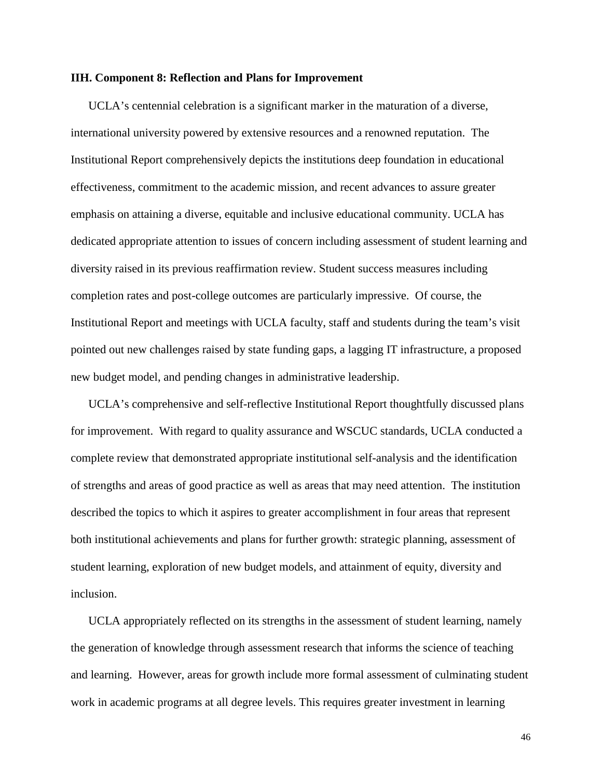#### **IIH. Component 8: Reflection and Plans for Improvement**

UCLA's centennial celebration is a significant marker in the maturation of a diverse, international university powered by extensive resources and a renowned reputation. The Institutional Report comprehensively depicts the institutions deep foundation in educational effectiveness, commitment to the academic mission, and recent advances to assure greater emphasis on attaining a diverse, equitable and inclusive educational community. UCLA has dedicated appropriate attention to issues of concern including assessment of student learning and diversity raised in its previous reaffirmation review. Student success measures including completion rates and post-college outcomes are particularly impressive. Of course, the Institutional Report and meetings with UCLA faculty, staff and students during the team's visit pointed out new challenges raised by state funding gaps, a lagging IT infrastructure, a proposed new budget model, and pending changes in administrative leadership.

UCLA's comprehensive and self-reflective Institutional Report thoughtfully discussed plans for improvement. With regard to quality assurance and WSCUC standards, UCLA conducted a complete review that demonstrated appropriate institutional self-analysis and the identification of strengths and areas of good practice as well as areas that may need attention. The institution described the topics to which it aspires to greater accomplishment in four areas that represent both institutional achievements and plans for further growth: strategic planning, assessment of student learning, exploration of new budget models, and attainment of equity, diversity and inclusion.

UCLA appropriately reflected on its strengths in the assessment of student learning, namely the generation of knowledge through assessment research that informs the science of teaching and learning. However, areas for growth include more formal assessment of culminating student work in academic programs at all degree levels. This requires greater investment in learning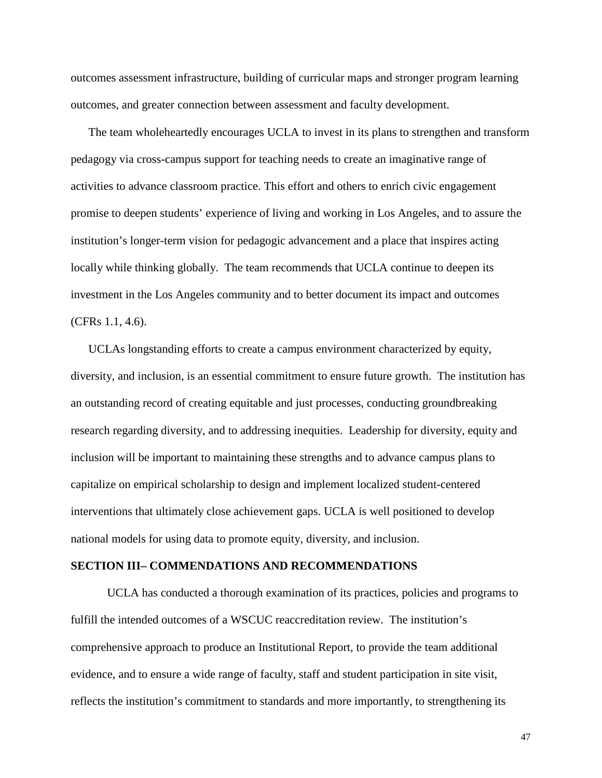outcomes assessment infrastructure, building of curricular maps and stronger program learning outcomes, and greater connection between assessment and faculty development.

The team wholeheartedly encourages UCLA to invest in its plans to strengthen and transform pedagogy via cross-campus support for teaching needs to create an imaginative range of activities to advance classroom practice. This effort and others to enrich civic engagement promise to deepen students' experience of living and working in Los Angeles, and to assure the institution's longer-term vision for pedagogic advancement and a place that inspires acting locally while thinking globally. The team recommends that UCLA continue to deepen its investment in the Los Angeles community and to better document its impact and outcomes (CFRs 1.1, 4.6).

UCLAs longstanding efforts to create a campus environment characterized by equity, diversity, and inclusion, is an essential commitment to ensure future growth. The institution has an outstanding record of creating equitable and just processes, conducting groundbreaking research regarding diversity, and to addressing inequities. Leadership for diversity, equity and inclusion will be important to maintaining these strengths and to advance campus plans to capitalize on empirical scholarship to design and implement localized student-centered interventions that ultimately close achievement gaps. UCLA is well positioned to develop national models for using data to promote equity, diversity, and inclusion.

#### <span id="page-47-0"></span>**SECTION III– COMMENDATIONS AND RECOMMENDATIONS**

UCLA has conducted a thorough examination of its practices, policies and programs to fulfill the intended outcomes of a WSCUC reaccreditation review. The institution's comprehensive approach to produce an Institutional Report, to provide the team additional evidence, and to ensure a wide range of faculty, staff and student participation in site visit, reflects the institution's commitment to standards and more importantly, to strengthening its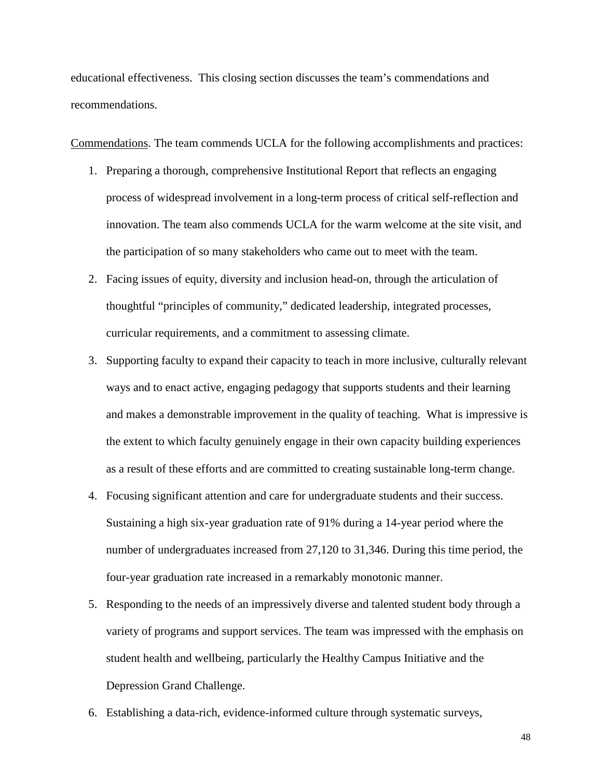educational effectiveness. This closing section discusses the team's commendations and recommendations.

Commendations. The team commends UCLA for the following accomplishments and practices:

- 1. Preparing a thorough, comprehensive Institutional Report that reflects an engaging process of widespread involvement in a long-term process of critical self-reflection and innovation. The team also commends UCLA for the warm welcome at the site visit, and the participation of so many stakeholders who came out to meet with the team.
- 2. Facing issues of equity, diversity and inclusion head-on, through the articulation of thoughtful "principles of community," dedicated leadership, integrated processes, curricular requirements, and a commitment to assessing climate.
- 3. Supporting faculty to expand their capacity to teach in more inclusive, culturally relevant ways and to enact active, engaging pedagogy that supports students and their learning and makes a demonstrable improvement in the quality of teaching. What is impressive is the extent to which faculty genuinely engage in their own capacity building experiences as a result of these efforts and are committed to creating sustainable long-term change.
- 4. Focusing significant attention and care for undergraduate students and their success. Sustaining a high six-year graduation rate of 91% during a 14-year period where the number of undergraduates increased from 27,120 to 31,346. During this time period, the four-year graduation rate increased in a remarkably monotonic manner.
- 5. Responding to the needs of an impressively diverse and talented student body through a variety of programs and support services. The team was impressed with the emphasis on student health and wellbeing, particularly the Healthy Campus Initiative and the Depression Grand Challenge.
- 6. Establishing a data-rich, evidence-informed culture through systematic surveys,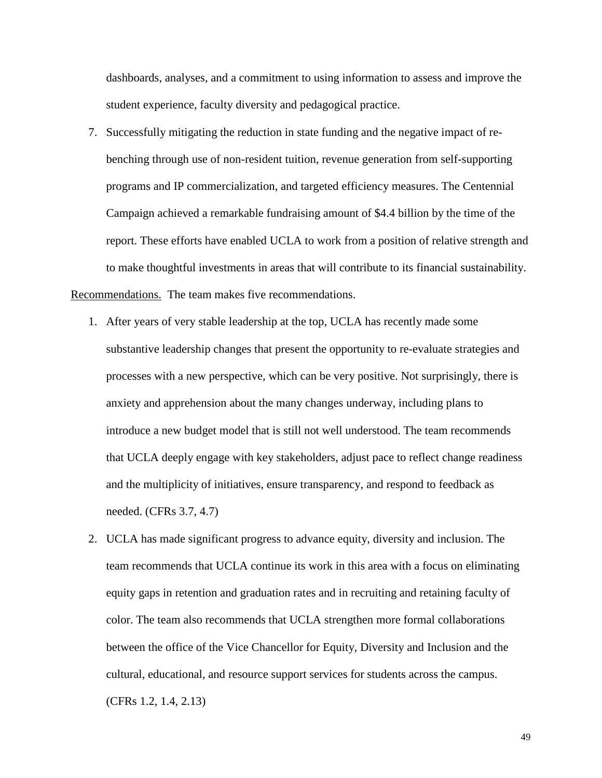dashboards, analyses, and a commitment to using information to assess and improve the student experience, faculty diversity and pedagogical practice.

- 7. Successfully mitigating the reduction in state funding and the negative impact of rebenching through use of non-resident tuition, revenue generation from self-supporting programs and IP commercialization, and targeted efficiency measures. The Centennial Campaign achieved a remarkable fundraising amount of \$4.4 billion by the time of the report. These efforts have enabled UCLA to work from a position of relative strength and to make thoughtful investments in areas that will contribute to its financial sustainability. Recommendations. The team makes five recommendations.
	- 1. After years of very stable leadership at the top, UCLA has recently made some substantive leadership changes that present the opportunity to re-evaluate strategies and processes with a new perspective, which can be very positive. Not surprisingly, there is anxiety and apprehension about the many changes underway, including plans to introduce a new budget model that is still not well understood. The team recommends that UCLA deeply engage with key stakeholders, adjust pace to reflect change readiness and the multiplicity of initiatives, ensure transparency, and respond to feedback as needed. (CFRs 3.7, 4.7)
	- 2. UCLA has made significant progress to advance equity, diversity and inclusion. The team recommends that UCLA continue its work in this area with a focus on eliminating equity gaps in retention and graduation rates and in recruiting and retaining faculty of color. The team also recommends that UCLA strengthen more formal collaborations between the office of the Vice Chancellor for Equity, Diversity and Inclusion and the cultural, educational, and resource support services for students across the campus. (CFRs 1.2, 1.4, 2.13)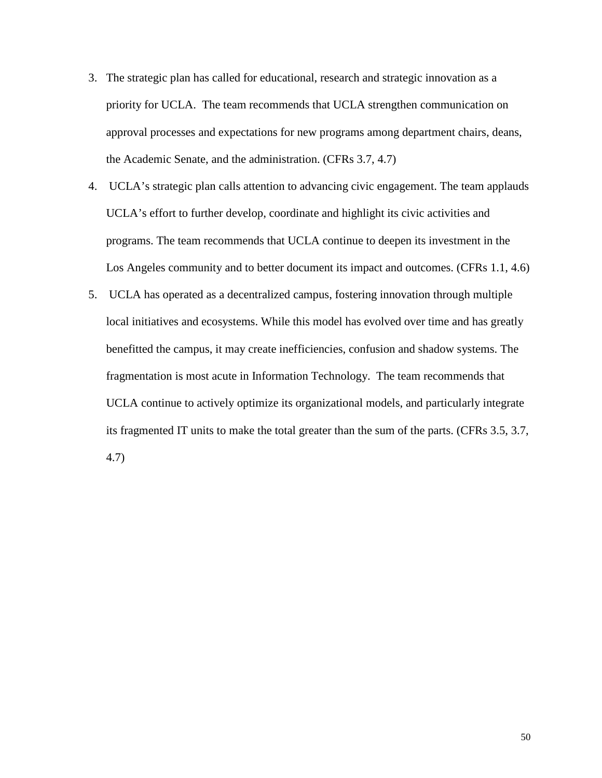- 3. The strategic plan has called for educational, research and strategic innovation as a priority for UCLA. The team recommends that UCLA strengthen communication on approval processes and expectations for new programs among department chairs, deans, the Academic Senate, and the administration. (CFRs 3.7, 4.7)
- 4. UCLA's strategic plan calls attention to advancing civic engagement. The team applauds UCLA's effort to further develop, coordinate and highlight its civic activities and programs. The team recommends that UCLA continue to deepen its investment in the Los Angeles community and to better document its impact and outcomes. (CFRs 1.1, 4.6)
- 5. UCLA has operated as a decentralized campus, fostering innovation through multiple local initiatives and ecosystems. While this model has evolved over time and has greatly benefitted the campus, it may create inefficiencies, confusion and shadow systems. The fragmentation is most acute in Information Technology. The team recommends that UCLA continue to actively optimize its organizational models, and particularly integrate its fragmented IT units to make the total greater than the sum of the parts. (CFRs 3.5, 3.7, 4.7)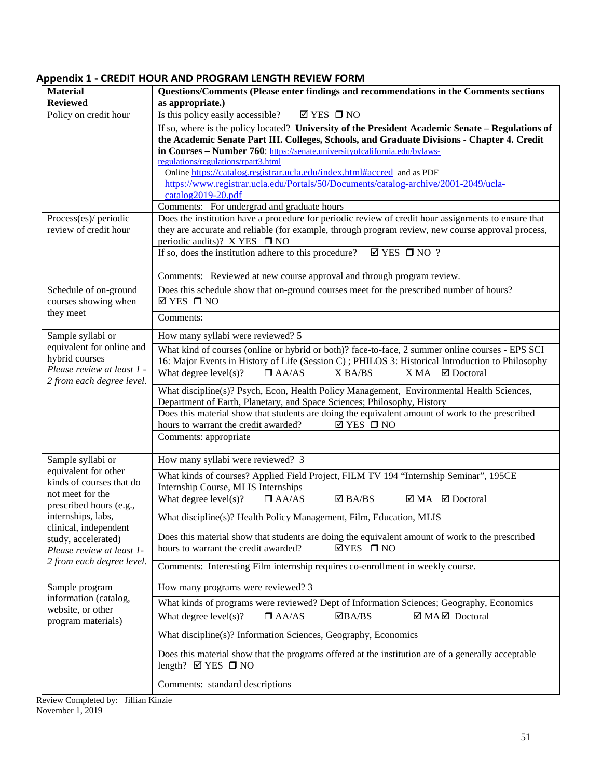# <span id="page-51-0"></span>**Appendix 1 - CREDIT HOUR AND PROGRAM LENGTH REVIEW FORM**

| <b>Material</b>                                                    | Questions/Comments (Please enter findings and recommendations in the Comments sections                                                                                     |  |  |  |
|--------------------------------------------------------------------|----------------------------------------------------------------------------------------------------------------------------------------------------------------------------|--|--|--|
| <b>Reviewed</b>                                                    | as appropriate.)                                                                                                                                                           |  |  |  |
| Policy on credit hour                                              | Is this policy easily accessible?<br>$\boxtimes$ YES $\Box$ NO                                                                                                             |  |  |  |
|                                                                    | If so, where is the policy located? University of the President Academic Senate – Regulations of                                                                           |  |  |  |
|                                                                    | the Academic Senate Part III. Colleges, Schools, and Graduate Divisions - Chapter 4. Credit                                                                                |  |  |  |
|                                                                    | in Courses - Number 760: https://senate.universityofcalifornia.edu/bylaws-<br>regulations/regulations/rpart3.html                                                          |  |  |  |
|                                                                    | Online https://catalog.registrar.ucla.edu/index.html#accred and as PDF                                                                                                     |  |  |  |
|                                                                    | https://www.registrar.ucla.edu/Portals/50/Documents/catalog-archive/2001-2049/ucla-                                                                                        |  |  |  |
|                                                                    | catalog2019-20.pdf                                                                                                                                                         |  |  |  |
|                                                                    | Comments: For undergrad and graduate hours                                                                                                                                 |  |  |  |
| Process(es)/ periodic                                              | Does the institution have a procedure for periodic review of credit hour assignments to ensure that                                                                        |  |  |  |
| review of credit hour                                              | they are accurate and reliable (for example, through program review, new course approval process,                                                                          |  |  |  |
|                                                                    | periodic audits)? X YES $\Box$ NO<br>If so, does the institution adhere to this procedure?<br>$\boxtimes$ YES $\Box$ NO ?                                                  |  |  |  |
|                                                                    |                                                                                                                                                                            |  |  |  |
|                                                                    | Comments: Reviewed at new course approval and through program review.                                                                                                      |  |  |  |
| Schedule of on-ground                                              | Does this schedule show that on-ground courses meet for the prescribed number of hours?                                                                                    |  |  |  |
| courses showing when                                               | $\boxtimes$ YES $\Box$ NO                                                                                                                                                  |  |  |  |
| they meet                                                          | Comments:                                                                                                                                                                  |  |  |  |
| Sample syllabi or                                                  | How many syllabi were reviewed? 5                                                                                                                                          |  |  |  |
| equivalent for online and<br>hybrid courses                        | What kind of courses (online or hybrid or both)? face-to-face, 2 summer online courses - EPS SCI                                                                           |  |  |  |
| Please review at least 1 -                                         | 16: Major Events in History of Life (Session C) ; PHILOS 3: Historical Introduction to Philosophy                                                                          |  |  |  |
| 2 from each degree level.                                          | What degree $level(s)?$<br>$\Box$ AA/AS<br>X BA/BS<br>X MA<br>$\boxtimes$ Doctoral                                                                                         |  |  |  |
|                                                                    | What discipline(s)? Psych, Econ, Health Policy Management, Environmental Health Sciences,                                                                                  |  |  |  |
|                                                                    | Department of Earth, Planetary, and Space Sciences; Philosophy, History<br>Does this material show that students are doing the equivalent amount of work to the prescribed |  |  |  |
|                                                                    | hours to warrant the credit awarded?<br>$\boxtimes$ YES $\Box$ NO                                                                                                          |  |  |  |
|                                                                    | Comments: appropriate                                                                                                                                                      |  |  |  |
|                                                                    |                                                                                                                                                                            |  |  |  |
| Sample syllabi or                                                  | How many syllabi were reviewed? 3                                                                                                                                          |  |  |  |
| equivalent for other<br>kinds of courses that do                   | What kinds of courses? Applied Field Project, FILM TV 194 "Internship Seminar", 195CE<br>Internship Course, MLIS Internships                                               |  |  |  |
| not meet for the<br>prescribed hours (e.g.,                        | What degree $level(s)?$<br>$\boxtimes$ BA/BS<br>$\boxtimes$ MA $\boxtimes$ Doctoral<br>$\Box$ AA/AS                                                                        |  |  |  |
| internships, labs,<br>clinical, independent<br>study, accelerated) | What discipline(s)? Health Policy Management, Film, Education, MLIS                                                                                                        |  |  |  |
|                                                                    | Does this material show that students are doing the equivalent amount of work to the prescribed                                                                            |  |  |  |
| Please review at least 1-                                          | hours to warrant the credit awarded?<br>$\Box$ YES $\Box$ NO                                                                                                               |  |  |  |
| 2 from each degree level.                                          | Comments: Interesting Film internship requires co-enrollment in weekly course.                                                                                             |  |  |  |
| Sample program                                                     | How many programs were reviewed? 3                                                                                                                                         |  |  |  |
| information (catalog,                                              | What kinds of programs were reviewed? Dept of Information Sciences; Geography, Economics                                                                                   |  |  |  |
| website, or other<br>program materials)                            | $\Box$ BA/BS<br>☑ MAØ Doctoral<br>What degree $level(s)?$<br>$\Box$ AA/AS                                                                                                  |  |  |  |
|                                                                    | What discipline(s)? Information Sciences, Geography, Economics                                                                                                             |  |  |  |
|                                                                    | Does this material show that the programs offered at the institution are of a generally acceptable                                                                         |  |  |  |
|                                                                    | length? $\boxtimes$ YES $\Box$ NO                                                                                                                                          |  |  |  |
|                                                                    | Comments: standard descriptions                                                                                                                                            |  |  |  |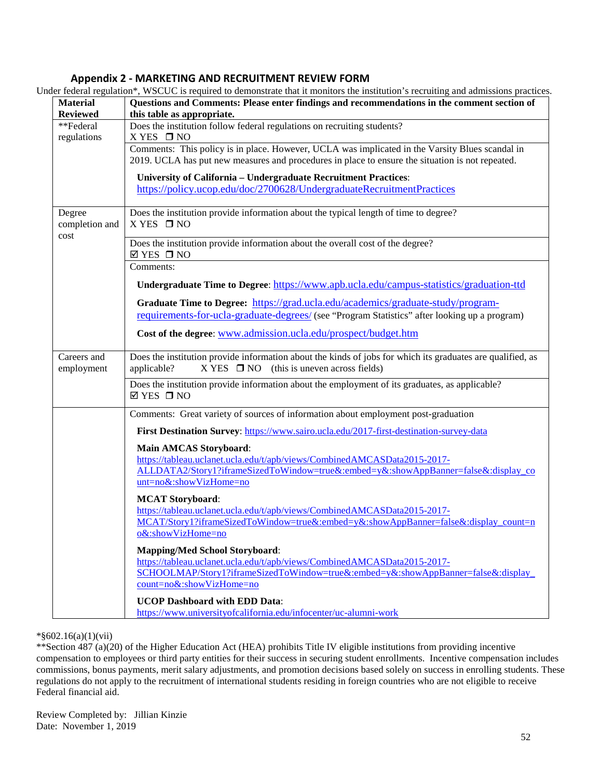## **Appendix 2 - MARKETING AND RECRUITMENT REVIEW FORM**

<span id="page-52-0"></span>

| <b>Material</b>                  | Under federal regulation*, WSCUC is required to demonstrate that it monitors the institution's recruiting and admissions practices.<br>Questions and Comments: Please enter findings and recommendations in the comment section of |
|----------------------------------|------------------------------------------------------------------------------------------------------------------------------------------------------------------------------------------------------------------------------------|
| <b>Reviewed</b>                  | this table as appropriate.                                                                                                                                                                                                         |
| **Federal<br>regulations         | Does the institution follow federal regulations on recruiting students?<br>X YES □ NO                                                                                                                                              |
|                                  | Comments: This policy is in place. However, UCLA was implicated in the Varsity Blues scandal in<br>2019. UCLA has put new measures and procedures in place to ensure the situation is not repeated.                                |
|                                  | University of California - Undergraduate Recruitment Practices:<br>https://policy.ucop.edu/doc/2700628/UndergraduateRecruitmentPractices                                                                                           |
| Degree<br>completion and<br>cost | Does the institution provide information about the typical length of time to degree?<br>X YES □ NO                                                                                                                                 |
|                                  | Does the institution provide information about the overall cost of the degree?<br>$\boxtimes$ YES $\Box$ NO                                                                                                                        |
|                                  | Comments:                                                                                                                                                                                                                          |
|                                  | Undergraduate Time to Degree: https://www.apb.ucla.edu/campus-statistics/graduation-ttd                                                                                                                                            |
|                                  | Graduate Time to Degree: https://grad.ucla.edu/academics/graduate-study/program-<br>requirements-for-ucla-graduate-degrees/ (see "Program Statistics" after looking up a program)                                                  |
|                                  | Cost of the degree: www.admission.ucla.edu/prospect/budget.htm                                                                                                                                                                     |
| Careers and<br>employment        | Does the institution provide information about the kinds of jobs for which its graduates are qualified, as<br>$X \text{YES} \quad \Box \text{NO} \quad \text{(this is uneven across fields)}$<br>applicable?                       |
|                                  | Does the institution provide information about the employment of its graduates, as applicable?<br>$\boxtimes$ YES $\Box$ NO                                                                                                        |
|                                  | Comments: Great variety of sources of information about employment post-graduation                                                                                                                                                 |
|                                  | First Destination Survey: https://www.sairo.ucla.edu/2017-first-destination-survey-data                                                                                                                                            |
|                                  | <b>Main AMCAS Storyboard:</b><br>https://tableau.uclanet.ucla.edu/t/apb/views/CombinedAMCASData2015-2017-<br>ALLDATA2/Story1?iframeSizedToWindow=true&:embed=y&:showAppBanner=false&:display_co<br>unt=no&:showVizHome=no          |
|                                  | <b>MCAT Storyboard:</b><br>https://tableau.uclanet.ucla.edu/t/apb/views/CombinedAMCASData2015-2017-<br>MCAT/Story1?iframeSizedToWindow=true&:embed=y&:showAppBanner=false&:display_count=n<br>o&:showVizHome=no                    |
|                                  | <b>Mapping/Med School Storyboard:</b><br>https://tableau.uclanet.ucla.edu/t/apb/views/CombinedAMCASData2015-2017-<br>SCHOOLMAP/Story1?iframeSizedToWindow=true&:embed=y&:showAppBanner=false&:display<br>count=no&:showVizHome=no  |
|                                  | <b>UCOP Dashboard with EDD Data:</b><br>https://www.universityofcalifornia.edu/infocenter/uc-alumni-work                                                                                                                           |

\*§602.16(a)(1)(vii)

\*\*Section 487 (a)(20) of the Higher Education Act (HEA) prohibits Title IV eligible institutions from providing incentive compensation to employees or third party entities for their success in securing student enrollments. Incentive compensation includes commissions, bonus payments, merit salary adjustments, and promotion decisions based solely on success in enrolling students. These regulations do not apply to the recruitment of international students residing in foreign countries who are not eligible to receive Federal financial aid.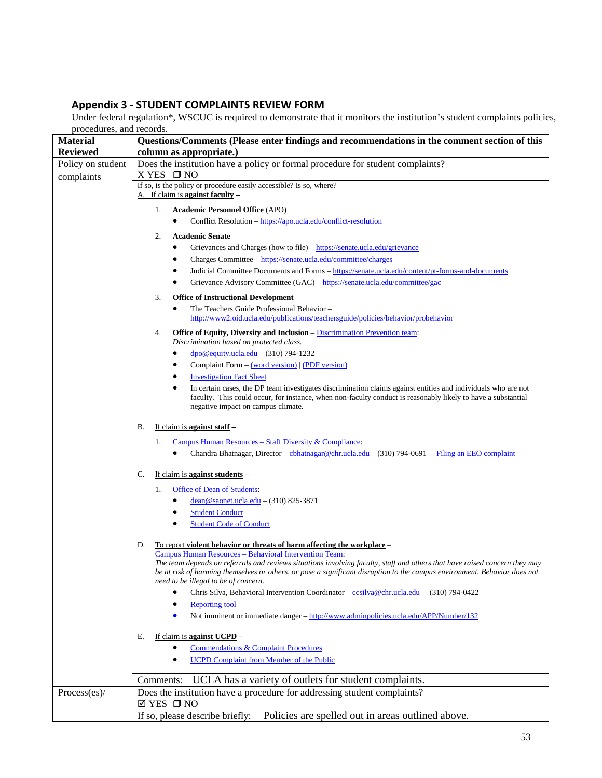# <span id="page-53-0"></span>**Appendix 3 - STUDENT COMPLAINTS REVIEW FORM**

Under federal regulation\*, WSCUC is required to demonstrate that it monitors the institution's student complaints policies, procedures, and records.

| <b>Material</b>   | Questions/Comments (Please enter findings and recommendations in the comment section of this                                                                      |  |  |
|-------------------|-------------------------------------------------------------------------------------------------------------------------------------------------------------------|--|--|
| <b>Reviewed</b>   | column as appropriate.)                                                                                                                                           |  |  |
| Policy on student | Does the institution have a policy or formal procedure for student complaints?                                                                                    |  |  |
| complaints        | $X$ YES $\Box$ NO                                                                                                                                                 |  |  |
|                   | If so, is the policy or procedure easily accessible? Is so, where?<br>A. If claim is against faculty –                                                            |  |  |
|                   |                                                                                                                                                                   |  |  |
|                   | <b>Academic Personnel Office (APO)</b><br>1.                                                                                                                      |  |  |
|                   | Conflict Resolution – https://apo.ucla.edu/conflict-resolution                                                                                                    |  |  |
|                   | <b>Academic Senate</b><br>2.                                                                                                                                      |  |  |
|                   | Grievances and Charges (how to file) – https://senate.ucla.edu/grievance<br>٠                                                                                     |  |  |
|                   | Charges Committee - https://senate.ucla.edu/committee/charges                                                                                                     |  |  |
|                   | Judicial Committee Documents and Forms - https://senate.ucla.edu/content/pt-forms-and-documents                                                                   |  |  |
|                   | Grievance Advisory Committee (GAC) – https://senate.ucla.edu/committee/gac                                                                                        |  |  |
|                   | 3.<br>Office of Instructional Development –                                                                                                                       |  |  |
|                   | The Teachers Guide Professional Behavior -<br>٠<br>http://www2.oid.ucla.edu/publications/teachersguide/policies/behavior/probehavior                              |  |  |
|                   |                                                                                                                                                                   |  |  |
|                   | Office of Equity, Diversity and Inclusion - Discrimination Prevention team:<br>4.<br>Discrimination based on protected class.                                     |  |  |
|                   | $\text{dpo@equity.ucla.edu} - (310)$ 794-1232                                                                                                                     |  |  |
|                   | Complaint Form – (word version)   (PDF version)                                                                                                                   |  |  |
|                   | <b>Investigation Fact Sheet</b>                                                                                                                                   |  |  |
|                   | In certain cases, the DP team investigates discrimination claims against entities and individuals who are not<br>٠                                                |  |  |
|                   | faculty. This could occur, for instance, when non-faculty conduct is reasonably likely to have a substantial                                                      |  |  |
|                   | negative impact on campus climate.                                                                                                                                |  |  |
|                   | If claim is against staff -<br>В.                                                                                                                                 |  |  |
|                   | Campus Human Resources – Staff Diversity & Compliance:<br>1.                                                                                                      |  |  |
|                   | Chandra Bhatnagar, Director – chhatnagar@chr.ucla.edu – (310) 794-0691<br>Filing an EEO complaint<br>$\bullet$                                                    |  |  |
|                   |                                                                                                                                                                   |  |  |
|                   | If claim is <b>against students</b> –<br>C.                                                                                                                       |  |  |
|                   | <b>Office of Dean of Students:</b><br>1.                                                                                                                          |  |  |
|                   | $dean@saonet.ucla.edu - (310) 825-3871$                                                                                                                           |  |  |
|                   | <b>Student Conduct</b>                                                                                                                                            |  |  |
|                   | <b>Student Code of Conduct</b><br>٠                                                                                                                               |  |  |
|                   | To report violent behavior or threats of harm affecting the workplace -<br>D.                                                                                     |  |  |
|                   | Campus Human Resources - Behavioral Intervention Team:                                                                                                            |  |  |
|                   | The team depends on referrals and reviews situations involving faculty, staff and others that have raised concern they may                                        |  |  |
|                   | be at risk of harming themselves or others, or pose a significant disruption to the campus environment. Behavior does not<br>need to be illegal to be of concern. |  |  |
|                   | Chris Silva, Behavioral Intervention Coordinator – ccsilva@chr.ucla.edu – (310) 794-0422                                                                          |  |  |
|                   | <b>Reporting tool</b>                                                                                                                                             |  |  |
|                   | Not imminent or immediate danger - http://www.adminpolicies.ucla.edu/APP/Number/132<br>$\bullet$                                                                  |  |  |
|                   |                                                                                                                                                                   |  |  |
|                   | If claim is against UCPD -<br>Е.<br>$\bullet$                                                                                                                     |  |  |
|                   | <b>Commendations &amp; Complaint Procedures</b><br><b>UCPD Complaint from Member of the Public</b><br>$\bullet$                                                   |  |  |
|                   |                                                                                                                                                                   |  |  |
|                   | UCLA has a variety of outlets for student complaints.<br>Comments:                                                                                                |  |  |
| Process(es)/      | Does the institution have a procedure for addressing student complaints?<br>$\boxtimes$ YES $\Box$ NO                                                             |  |  |
|                   | Policies are spelled out in areas outlined above.<br>If so, please describe briefly:                                                                              |  |  |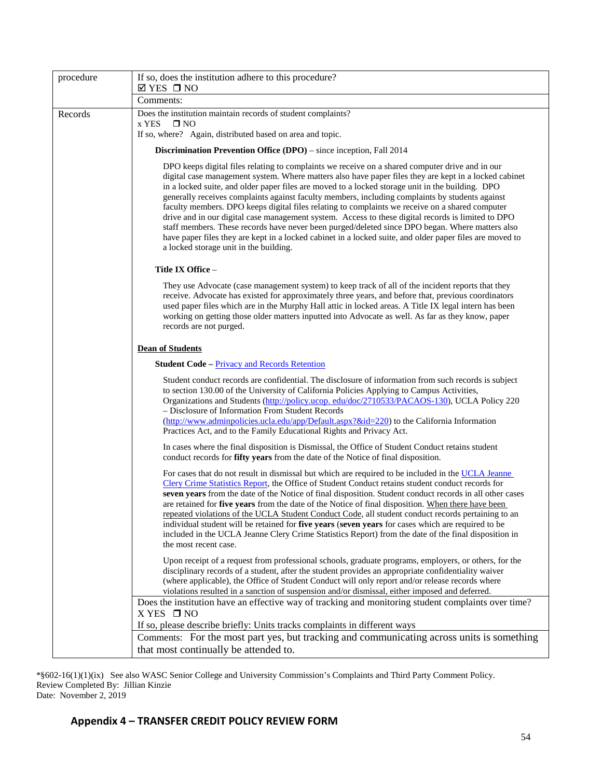| DPO keeps digital files relating to complaints we receive on a shared computer drive and in our<br>digital case management system. Where matters also have paper files they are kept in a locked cabinet                                                                                                                                                                                                                                                                                                                                                                                                                                                                                                                                     |
|----------------------------------------------------------------------------------------------------------------------------------------------------------------------------------------------------------------------------------------------------------------------------------------------------------------------------------------------------------------------------------------------------------------------------------------------------------------------------------------------------------------------------------------------------------------------------------------------------------------------------------------------------------------------------------------------------------------------------------------------|
|                                                                                                                                                                                                                                                                                                                                                                                                                                                                                                                                                                                                                                                                                                                                              |
|                                                                                                                                                                                                                                                                                                                                                                                                                                                                                                                                                                                                                                                                                                                                              |
|                                                                                                                                                                                                                                                                                                                                                                                                                                                                                                                                                                                                                                                                                                                                              |
| in a locked suite, and older paper files are moved to a locked storage unit in the building. DPO<br>generally receives complaints against faculty members, including complaints by students against<br>faculty members. DPO keeps digital files relating to complaints we receive on a shared computer<br>drive and in our digital case management system. Access to these digital records is limited to DPO<br>staff members. These records have never been purged/deleted since DPO began. Where matters also<br>have paper files they are kept in a locked cabinet in a locked suite, and older paper files are moved to                                                                                                                  |
|                                                                                                                                                                                                                                                                                                                                                                                                                                                                                                                                                                                                                                                                                                                                              |
| They use Advocate (case management system) to keep track of all of the incident reports that they<br>receive. Advocate has existed for approximately three years, and before that, previous coordinators<br>used paper files which are in the Murphy Hall attic in locked areas. A Title IX legal intern has been<br>working on getting those older matters inputted into Advocate as well. As far as they know, paper                                                                                                                                                                                                                                                                                                                       |
|                                                                                                                                                                                                                                                                                                                                                                                                                                                                                                                                                                                                                                                                                                                                              |
|                                                                                                                                                                                                                                                                                                                                                                                                                                                                                                                                                                                                                                                                                                                                              |
| Student conduct records are confidential. The disclosure of information from such records is subject<br>to section 130.00 of the University of California Policies Applying to Campus Activities,<br>Organizations and Students (http://policy.ucop. edu/doc/2710533/PACAOS-130), UCLA Policy 220<br>(http://www.adminpolicies.ucla.edu/app/Default.aspx?&id=220) to the California Information                                                                                                                                                                                                                                                                                                                                              |
| In cases where the final disposition is Dismissal, the Office of Student Conduct retains student                                                                                                                                                                                                                                                                                                                                                                                                                                                                                                                                                                                                                                             |
| For cases that do not result in dismissal but which are required to be included in the UCLA Jeanne<br>Clery Crime Statistics Report, the Office of Student Conduct retains student conduct records for<br>seven years from the date of the Notice of final disposition. Student conduct records in all other cases<br>are retained for five years from the date of the Notice of final disposition. When there have been<br>repeated violations of the UCLA Student Conduct Code, all student conduct records pertaining to an<br>individual student will be retained for five years (seven years for cases which are required to be<br>included in the UCLA Jeanne Clery Crime Statistics Report) from the date of the final disposition in |
| Upon receipt of a request from professional schools, graduate programs, employers, or others, for the<br>disciplinary records of a student, after the student provides an appropriate confidentiality waiver<br>(where applicable), the Office of Student Conduct will only report and/or release records where<br>violations resulted in a sanction of suspension and/or dismissal, either imposed and deferred.                                                                                                                                                                                                                                                                                                                            |
| Does the institution have an effective way of tracking and monitoring student complaints over time?                                                                                                                                                                                                                                                                                                                                                                                                                                                                                                                                                                                                                                          |
| Comments: For the most part yes, but tracking and communicating across units is something                                                                                                                                                                                                                                                                                                                                                                                                                                                                                                                                                                                                                                                    |
|                                                                                                                                                                                                                                                                                                                                                                                                                                                                                                                                                                                                                                                                                                                                              |

\*§602-16(1)(1)(ix) See also WASC Senior College and University Commission's Complaints and Third Party Comment Policy. Review Completed By: Jillian Kinzie Date: November 2, 2019

# <span id="page-54-0"></span>**Appendix 4 – TRANSFER CREDIT POLICY REVIEW FORM**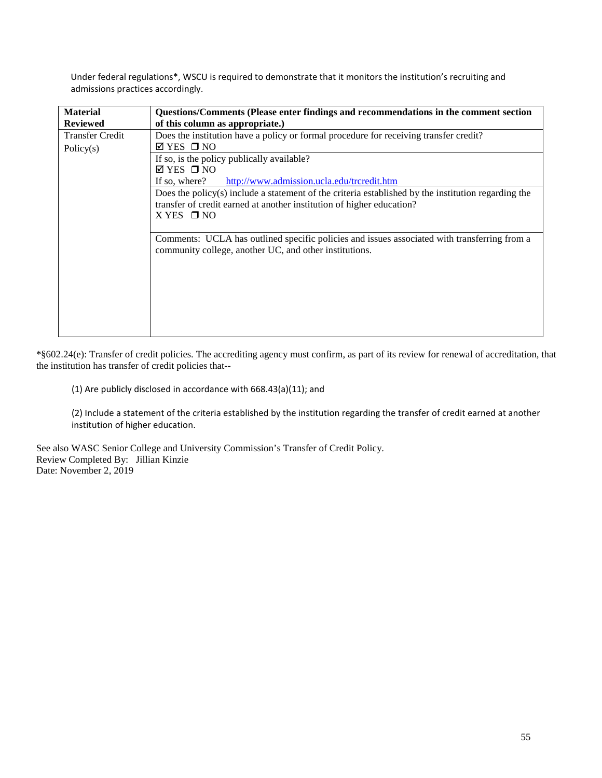Under federal regulations\*, WSCU is required to demonstrate that it monitors the institution's recruiting and admissions practices accordingly.

| <b>Material</b>        | Questions/Comments (Please enter findings and recommendations in the comment section                                                                                         |  |  |
|------------------------|------------------------------------------------------------------------------------------------------------------------------------------------------------------------------|--|--|
| <b>Reviewed</b>        | of this column as appropriate.)                                                                                                                                              |  |  |
| <b>Transfer Credit</b> | Does the institution have a policy or formal procedure for receiving transfer credit?                                                                                        |  |  |
| Policy $(s)$           | $\boxtimes$ YES $\Box$ NO                                                                                                                                                    |  |  |
|                        | If so, is the policy publically available?                                                                                                                                   |  |  |
|                        | $\boxtimes$ YES $\Box$ NO                                                                                                                                                    |  |  |
|                        | If so, where?<br>http://www.admission.ucla.edu/trcredit.htm                                                                                                                  |  |  |
|                        | Does the policy(s) include a statement of the criteria established by the institution regarding the<br>transfer of credit earned at another institution of higher education? |  |  |
|                        | $X$ YES $\Box$ NO                                                                                                                                                            |  |  |
|                        | Comments: UCLA has outlined specific policies and issues associated with transferring from a<br>community college, another UC, and other institutions.                       |  |  |
|                        |                                                                                                                                                                              |  |  |
|                        |                                                                                                                                                                              |  |  |
|                        |                                                                                                                                                                              |  |  |
|                        |                                                                                                                                                                              |  |  |

\*§602.24(e): Transfer of credit policies. The accrediting agency must confirm, as part of its review for renewal of accreditation, that the institution has transfer of credit policies that--

(1) Are publicly disclosed in accordance with 668.43(a)(11); and

(2) Include a statement of the criteria established by the institution regarding the transfer of credit earned at another institution of higher education.

See also WASC Senior College and University Commission's Transfer of Credit Policy. Review Completed By: Jillian Kinzie Date: November 2, 2019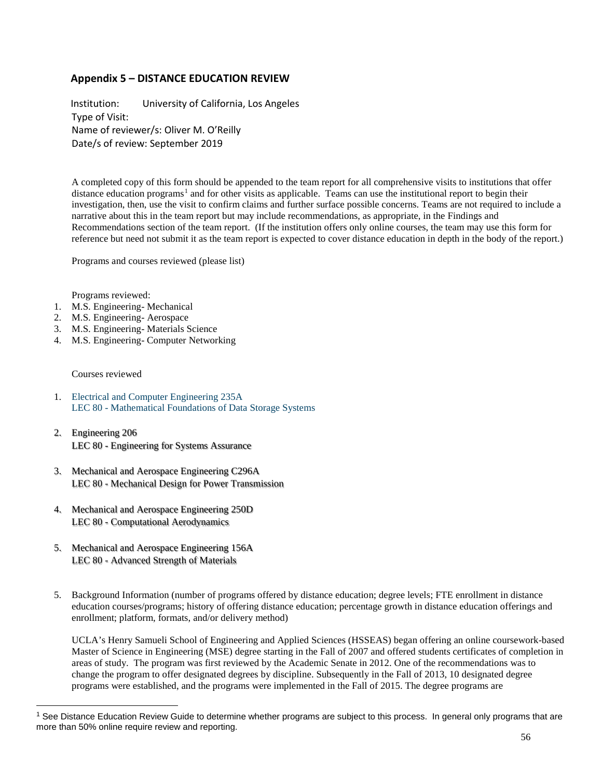# <span id="page-56-0"></span>**Appendix 5 – DISTANCE EDUCATION REVIEW**

Institution: University of California, Los Angeles Type of Visit: Name of reviewer/s: Oliver M. O'Reilly Date/s of review: September 2019

A completed copy of this form should be appended to the team report for all comprehensive visits to institutions that offer distance education programs<sup>[1](#page-56-1)</sup> and for other visits as applicable. Teams can use the institutional report to begin their investigation, then, use the visit to confirm claims and further surface possible concerns. Teams are not required to include a narrative about this in the team report but may include recommendations, as appropriate, in the Findings and Recommendations section of the team report. (If the institution offers only online courses, the team may use this form for reference but need not submit it as the team report is expected to cover distance education in depth in the body of the report.)

Programs and courses reviewed (please list)

Programs reviewed:

- 1. M.S. Engineering- Mechanical
- 2. M.S. Engineering- Aerospace
- 3. M.S. Engineering- Materials Science
- 4. M.S. Engineering- Computer Networking

#### Courses reviewed

**.** 

- 1. [Electrical and Computer Engineering 235A](https://ccle.ucla.edu/course/view/191A-ECENGR235A-80) LEC 80 - [Mathematical Foundations of Data Storage Systems](https://ccle.ucla.edu/course/view/191A-ECENGR235A-80)
- 2. [Engineering 206](https://ccle.ucla.edu/course/view/191A-ENGR206-80) LEC 80 - [Engineering for Systems Assurance](https://ccle.ucla.edu/course/view/191A-ENGR206-80)
- 3. [Mechanical and Aerospace Engineering C296A](https://ccle.ucla.edu/course/view/191A-MECHAEC296A-80) LEC 80 - [Mechanical Design for Power Transmission](https://ccle.ucla.edu/course/view/191A-MECHAEC296A-80)
- 4. [Mechanical and Aerospace Engineering 250D](https://ccle.ucla.edu/course/view/191A-MECHAE250D-80) LEC 80 - [Computational Aerodynamics](https://ccle.ucla.edu/course/view/191A-MECHAE250D-80)
- 5. [Mechanical and Aerospace Engineering 156A](https://ccle.ucla.edu/course/view/191A-MECHAE156A-80) LEC 80 - [Advanced Strength of Materials](https://ccle.ucla.edu/course/view/191A-MECHAE156A-80)
- 5. Background Information (number of programs offered by distance education; degree levels; FTE enrollment in distance education courses/programs; history of offering distance education; percentage growth in distance education offerings and enrollment; platform, formats, and/or delivery method)

UCLA's Henry Samueli School of Engineering and Applied Sciences (HSSEAS) began offering an online coursework-based Master of Science in Engineering (MSE) degree starting in the Fall of 2007 and offered students certificates of completion in areas of study. The program was first reviewed by the Academic Senate in 2012. One of the recommendations was to change the program to offer designated degrees by discipline. Subsequently in the Fall of 2013, 10 designated degree programs were established, and the programs were implemented in the Fall of 2015. The degree programs are

<span id="page-56-1"></span><sup>&</sup>lt;sup>1</sup> See Distance Education Review Guide to determine whether programs are subject to this process. In general only programs that are more than 50% online require review and reporting.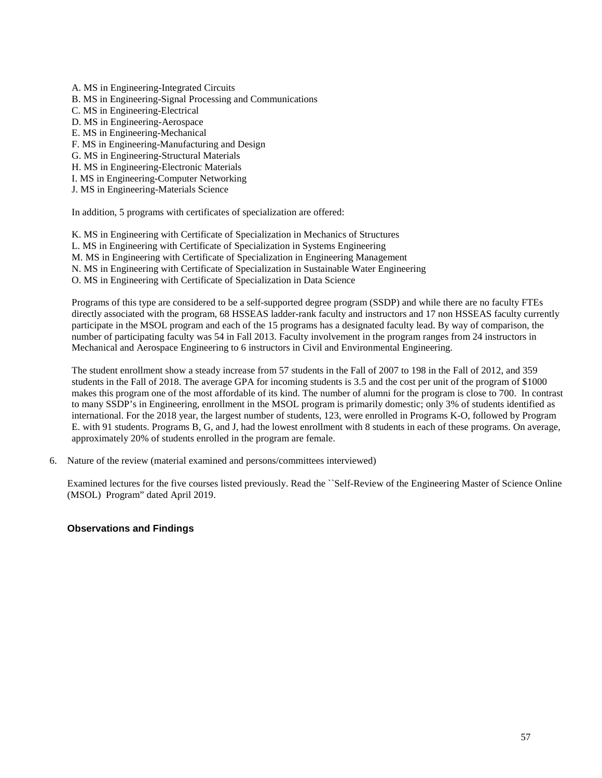- A. MS in Engineering-Integrated Circuits
- B. MS in Engineering-Signal Processing and Communications
- C. MS in Engineering-Electrical
- D. MS in Engineering-Aerospace
- E. MS in Engineering-Mechanical
- F. MS in Engineering-Manufacturing and Design
- G. MS in Engineering-Structural Materials
- H. MS in Engineering-Electronic Materials
- I. MS in Engineering-Computer Networking
- J. MS in Engineering-Materials Science

In addition, 5 programs with certificates of specialization are offered:

- K. MS in Engineering with Certificate of Specialization in Mechanics of Structures
- L. MS in Engineering with Certificate of Specialization in Systems Engineering
- M. MS in Engineering with Certificate of Specialization in Engineering Management
- N. MS in Engineering with Certificate of Specialization in Sustainable Water Engineering
- O. MS in Engineering with Certificate of Specialization in Data Science

Programs of this type are considered to be a self-supported degree program (SSDP) and while there are no faculty FTEs directly associated with the program, 68 HSSEAS ladder-rank faculty and instructors and 17 non HSSEAS faculty currently participate in the MSOL program and each of the 15 programs has a designated faculty lead. By way of comparison, the number of participating faculty was 54 in Fall 2013. Faculty involvement in the program ranges from 24 instructors in Mechanical and Aerospace Engineering to 6 instructors in Civil and Environmental Engineering.

The student enrollment show a steady increase from 57 students in the Fall of 2007 to 198 in the Fall of 2012, and 359 students in the Fall of 2018. The average GPA for incoming students is 3.5 and the cost per unit of the program of \$1000 makes this program one of the most affordable of its kind. The number of alumni for the program is close to 700. In contrast to many SSDP's in Engineering, enrollment in the MSOL program is primarily domestic; only 3% of students identified as international. For the 2018 year, the largest number of students, 123, were enrolled in Programs K-O, followed by Program E. with 91 students. Programs B, G, and J, had the lowest enrollment with 8 students in each of these programs. On average, approximately 20% of students enrolled in the program are female.

6. Nature of the review (material examined and persons/committees interviewed)

Examined lectures for the five courses listed previously. Read the ``Self-Review of the Engineering Master of Science Online (MSOL) Program" dated April 2019.

#### **Observations and Findings**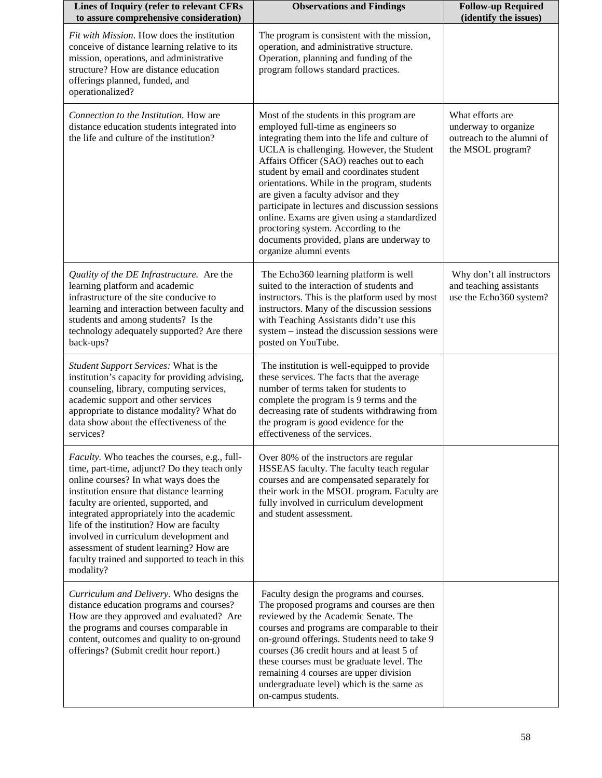| Lines of Inquiry (refer to relevant CFRs<br>to assure comprehensive consideration)                                                                                                                                                                                                                                                                                                                                                                                                | <b>Observations and Findings</b>                                                                                                                                                                                                                                                                                                                                                                                                                                                                                                                                               | <b>Follow-up Required</b><br>(identify the issues)                                         |
|-----------------------------------------------------------------------------------------------------------------------------------------------------------------------------------------------------------------------------------------------------------------------------------------------------------------------------------------------------------------------------------------------------------------------------------------------------------------------------------|--------------------------------------------------------------------------------------------------------------------------------------------------------------------------------------------------------------------------------------------------------------------------------------------------------------------------------------------------------------------------------------------------------------------------------------------------------------------------------------------------------------------------------------------------------------------------------|--------------------------------------------------------------------------------------------|
| Fit with Mission. How does the institution<br>conceive of distance learning relative to its<br>mission, operations, and administrative<br>structure? How are distance education<br>offerings planned, funded, and<br>operationalized?                                                                                                                                                                                                                                             | The program is consistent with the mission,<br>operation, and administrative structure.<br>Operation, planning and funding of the<br>program follows standard practices.                                                                                                                                                                                                                                                                                                                                                                                                       |                                                                                            |
| Connection to the Institution. How are<br>distance education students integrated into<br>the life and culture of the institution?                                                                                                                                                                                                                                                                                                                                                 | Most of the students in this program are<br>employed full-time as engineers so<br>integrating them into the life and culture of<br>UCLA is challenging. However, the Student<br>Affairs Officer (SAO) reaches out to each<br>student by email and coordinates student<br>orientations. While in the program, students<br>are given a faculty advisor and they<br>participate in lectures and discussion sessions<br>online. Exams are given using a standardized<br>proctoring system. According to the<br>documents provided, plans are underway to<br>organize alumni events | What efforts are<br>underway to organize<br>outreach to the alumni of<br>the MSOL program? |
| Quality of the DE Infrastructure. Are the<br>learning platform and academic<br>infrastructure of the site conducive to<br>learning and interaction between faculty and<br>students and among students? Is the<br>technology adequately supported? Are there<br>back-ups?                                                                                                                                                                                                          | The Echo360 learning platform is well<br>suited to the interaction of students and<br>instructors. This is the platform used by most<br>instructors. Many of the discussion sessions<br>with Teaching Assistants didn't use this<br>system - instead the discussion sessions were<br>posted on YouTube.                                                                                                                                                                                                                                                                        | Why don't all instructors<br>and teaching assistants<br>use the Echo360 system?            |
| Student Support Services: What is the<br>institution's capacity for providing advising,<br>counseling, library, computing services,<br>academic support and other services<br>appropriate to distance modality? What do<br>data show about the effectiveness of the<br>services?                                                                                                                                                                                                  | The institution is well-equipped to provide<br>these services. The facts that the average<br>number of terms taken for students to<br>complete the program is 9 terms and the<br>decreasing rate of students withdrawing from<br>the program is good evidence for the<br>effectiveness of the services.                                                                                                                                                                                                                                                                        |                                                                                            |
| <i>Faculty</i> . Who teaches the courses, e.g., full-<br>time, part-time, adjunct? Do they teach only<br>online courses? In what ways does the<br>institution ensure that distance learning<br>faculty are oriented, supported, and<br>integrated appropriately into the academic<br>life of the institution? How are faculty<br>involved in curriculum development and<br>assessment of student learning? How are<br>faculty trained and supported to teach in this<br>modality? | Over 80% of the instructors are regular<br>HSSEAS faculty. The faculty teach regular<br>courses and are compensated separately for<br>their work in the MSOL program. Faculty are<br>fully involved in curriculum development<br>and student assessment.                                                                                                                                                                                                                                                                                                                       |                                                                                            |
| Curriculum and Delivery. Who designs the<br>distance education programs and courses?<br>How are they approved and evaluated? Are<br>the programs and courses comparable in<br>content, outcomes and quality to on-ground<br>offerings? (Submit credit hour report.)                                                                                                                                                                                                               | Faculty design the programs and courses.<br>The proposed programs and courses are then<br>reviewed by the Academic Senate. The<br>courses and programs are comparable to their<br>on-ground offerings. Students need to take 9<br>courses (36 credit hours and at least 5 of<br>these courses must be graduate level. The<br>remaining 4 courses are upper division<br>undergraduate level) which is the same as<br>on-campus students.                                                                                                                                        |                                                                                            |